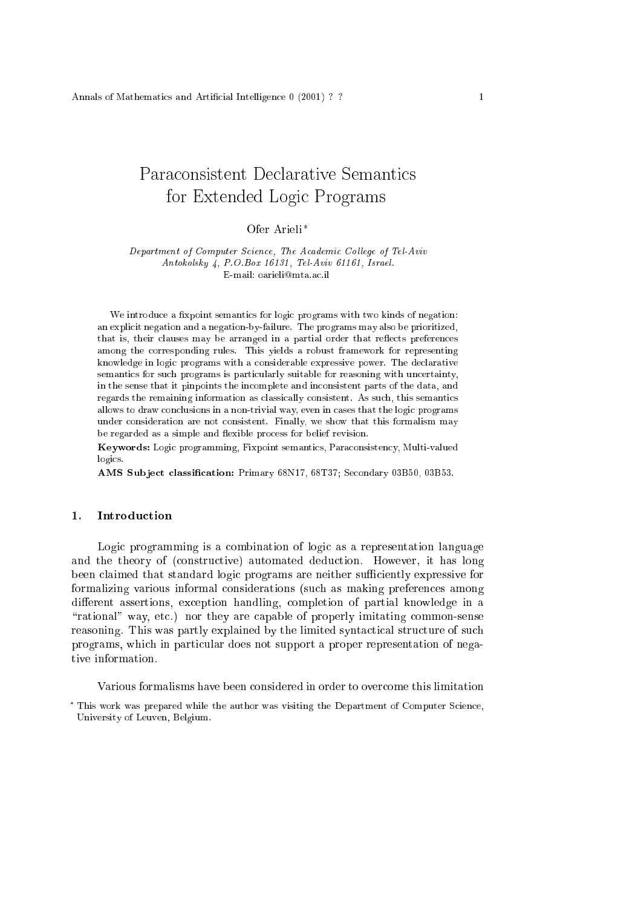# Paraconsistent Declarative Semantics for Extended Logi Programs

# Ofer Arieli

Department of Computer Science, The Academic College of Tel-Aviv Antokolsky 4, P.O.Box 16131, Tel-Aviv 61161, Israel. E-mail: oarieli@mta.ac.il

We introduce a fixpoint semantics for logic programs with two kinds of negation: an expli
it negation and a negation-by-failure. The programs may also be prioritized, that is, their clauses may be arranged in a partial order that reflects preferences among the orresponding rules. This yields a robust framework for representing knowledge in logic programs with a considerable expressive power. The declarative semantics for such programs is particularly suitable for reasoning with uncertainty, in the sense that it pinpoints the in
omplete and in
onsistent parts of the data, and regards the remaining information as classically consistent. As such, this semantics allows to draw conclusions in a non-trivial way, even in cases that the logic programs under consideration are not consistent. Finally, we show that this formalism may be regarded as a simple and flexible process for belief revision.

Keywords: Logic programming, Fixpoint semantics, Paraconsistency, Multi-valued logics.

AMS Subject classification: Primary 68N17, 68T37; Secondary 03B50, 03B53.

#### Introduction  $\mathbf{1}$ .

Logic programming is a combination of logic as a representation language and the theory of (
onstru
tive) automated dedu
tion. However, it has long been claimed that standard logic programs are neither sufficiently expressive for formalizing various informal onsiderations (su
h as making preferen
es among different assertions, exception handling, completion of partial knowledge in a "rational" way, etc.) nor they are capable of properly imitating common-sense reasoning. This was partly explained by the limited syntactical structure of such programs, whi
h in parti
ular does not support a proper representation of negative information.

Various formalisms have been onsidered in order to over
ome this limitation

This work was prepared while the author was visiting the Department of Computer S
ien
e, University of Leuven, Belgium.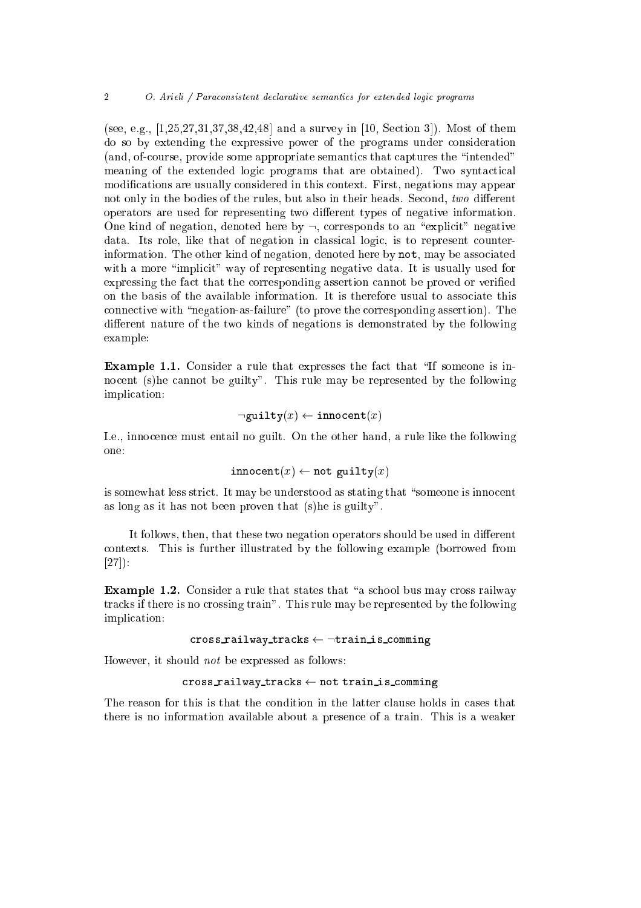(see, e.g.,  $[1.25.27.31.37.38.42.48]$  and a survey in [10, Section 3]). Most of them do so by extending the expressive power of the programs under onsideration (and, of-course, provide some appropriate semantics that captures the "intended" meaning of the extended logic programs that are obtained). Two syntactical modifications are usually considered in this context. First, negations may appear not only in the bodies of the rules, but also in their heads. Second, two different operators are used for representing two dierent types of negative information. One kind of negation, denoted here by  $\neg$ , corresponds to an "explicit" negative data. Its role, like that of negation in classical logic, is to represent counterinformation. The other kind of negation, denoted here by not, may be asso
iated with a more "implicit" way of representing negative data. It is usually used for expressing the fa
t that the orresponding assertion annot be proved or veried on the basis of the available information. It is therefore usual to asso
iate this connective with "negation-as-failure" (to prove the corresponding assertion). The different nature of the two kinds of negations is demonstrated by the following example:

**Example 1.1.** Consider a rule that expresses the fact that "If someone is inno
ent (s)he annot be guilty". This rule may be represented by the following impli
ation:

$$
\neg \texttt{guily}(x) \leftarrow \texttt{innocent}(x)
$$

I.e., inno
en
e must entail no guilt. On the other hand, a rule like the following one:

$$
\mathtt{innocent}(x) \leftarrow \mathtt{not}\ \mathtt{guilty}(x)
$$

is somewhat less strict. It may be understood as stating that "someone is innocent" as long as it has not been proven that (s)he is guilty".

It follows, then, that these two negation operators should be used in different ontexts. This is further illustrated by the following example (borrowed from  $[27]$ :

**Example 1.2.** Consider a rule that states that "a school bus may cross railway tracks if there is no crossing train". This rule may be represented by the following impli
ation:

ross railway tra
ks :train is omming

However, it should not be expressed as follows:

```

ross railway tra
ks not train is 
omming
```
The reason for this is that the condition in the latter clause holds in cases that there is no information available about a presen
e of a train. This is a weaker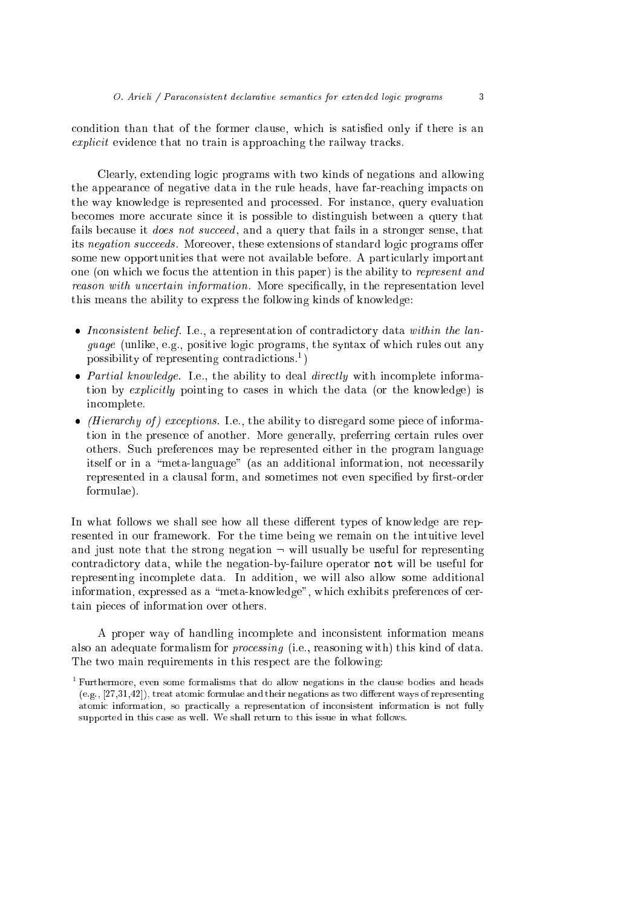condition than that of the former clause, which is satisfied only if there is an explicit evidence that no train is approaching the railway tracks.

Clearly, extending logic programs with two kinds of negations and allowing the appearan
e of negative data in the rule heads, have far-rea
hing impa
ts on the way knowledge is represented and pro
essed. For instan
e, query evaluation becomes more accurate since it is possible to distinguish between a query that fails because it *does not succeed*, and a query that fails in a stronger sense, that its negation succeeds. Moreover, these extensions of standard logic programs offer some new opportunities that were not available before. A particularly important one (on whi
h we fo
us the attention in this paper) is the ability to represent and reason with uncertain information. More specifically, in the representation level this means the ability to express the following kinds of knowledge:

- In
onsistent belief. I.e., <sup>a</sup> representation of ontradi
tory data within the lanquage (unlike, e.g., positive logic programs, the syntax of which rules out any possibility of representing contradictions. *T*
- Partial knowledge. I.e., the ability to deal dire
tly with in
omplete information by explicitly pointing to cases in which the data (or the knowledge) is in
omplete.
- the contract of  $\alpha$  , the ability to distributions. It is the ability to distribution of the ability to distribution tion in the presen
e of another. More generally, preferring ertain rules over others. Su
h preferen
es may be represented either in the program language itself or in a "meta-language" (as an additional information, not necessarily represented in a clausal form, and sometimes not even specified by first-order formulae).

In what follows we shall see how all these different types of knowledge are represented in our framework. For the time being we remain on the intuitive level and just note that the strong negation  $\sim$  will usually be useful for representing ontradi
tory data, while the negation-by-failure operator not will be useful for representing in
omplete data. In addition, we will also allow some additional information, expressed as a "meta-knowledge", which exhibits preferences of certain pie
es of information over others.

A proper way of handling in
omplete and in
onsistent information means also an adequate formalism for pro
essing (i.e., reasoning with) this kind of data. The two main requirements in this respe
t are the following:

turthermore, even some formalisms that do allow negations in the clause bodies and heads "  $(e.g., [27.31, 42])$ , treat atomic formulae and their negations as two different ways of representing atomic information, so practically a representation of inconsistent information is not fully supported in this ase as well. We shall return to this issue in what follows.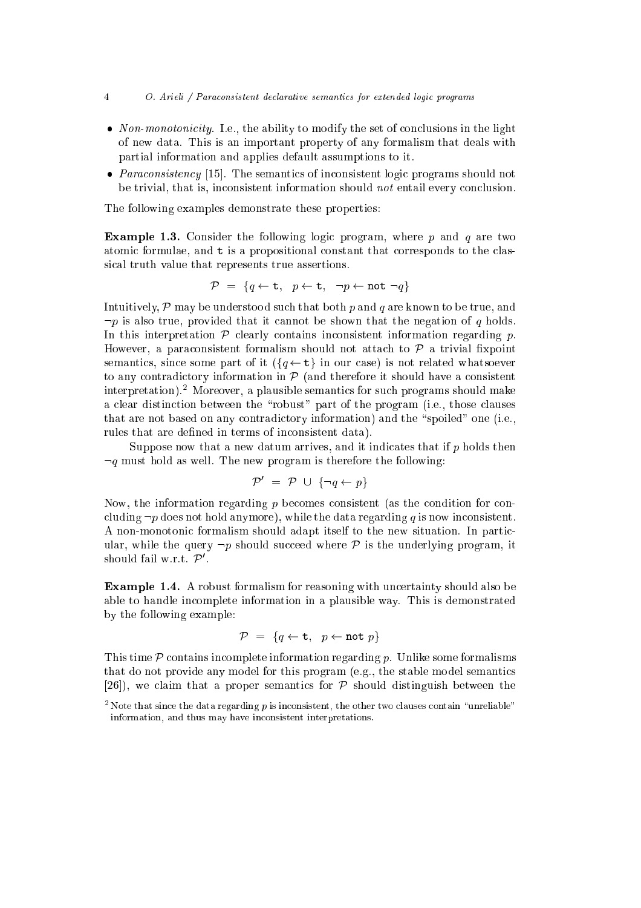- ity. It is ability to monotonic to modify the set of the ability the set of the set of  $\mathcal{A}$ of new data. This is an important property of any formalism that deals with partial information and applies default assumptions to it.
- onsisten y fan 'e semantisten's of international constant logical constant logical constant of the semantisten be trivial, that is, inconsistent information should *not* entail every conclusion.

The following examples demonstrate these properties:

**Example 1.3.** Consider the following logic program, where p and q are two atomi formulae, and <sup>t</sup> is a propositional onstant that orresponds to the lassi
al truth value that represents true assertions.

$$
\mathcal{P} = \{q \leftarrow t, p \leftarrow t, \neg p \leftarrow \text{not } \neg q\}
$$

Intuitively,  $P$  may be understood such that both p and q are known to be true, and  $\neg p$  is also true, provided that it cannot be shown that the negation of q holds. In this interpretation  $P$  clearly contains inconsistent information regarding  $p$ . However, a paraconsistent formalism should not attach to  $P$  a trivial fixpoint semantics, since some part of it  $({q \leftarrow t}$  in our case) is not related whatsoever to any contradictory information in  $P$  (and therefore it should have a consistent interpretation).<sup>2</sup> Moreover, a plausible semantics for such programs should make a clear distinction between the "robust" part of the program (i.e., those clauses that are not based on any contradictory information) and the "spoiled" one (i.e., rules that are defined in terms of inconsistent data).

Suppose now that a new datum arrives, and it indicates that if  $p$  holds then  $\neg q$  must hold as well. The new program is therefore the following:

$$
\mathcal{P}' = \mathcal{P} \cup \{\neg q \leftarrow p\}
$$

Now, the information regarding  $p$  becomes consistent (as the condition for concluding  $\neg p$  does not hold anymore), while the data regarding q is now inconsistent. A non-monotoni formalism should adapt itself to the new situation. In parti
 ular, while the query  $\neg p$  should succeed where  $\mathcal P$  is the underlying program, it should fall w.r.t.  $\mu$  .

Example 1.4. A robust formalism for reasoning with uncertainty should also be able to handle in
omplete information in a plausible way. This is demonstrated by the following example:

$$
\mathcal{P} = \{q \leftarrow \mathbf{t}, \ p \leftarrow \mathtt{not} \ p\}
$$

This time  $P$  contains incomplete information regarding p. Unlike some formalisms that do not provide any model for this program (e.g., the stable model semanti
s [26]), we claim that a proper semantics for  $P$  should distinguish between the

 $\,$  - Note that since the data regarding  $\,p\,$  is inconsistent, the other two clauses contain "unreliable"  $\,$ information, and thus may have inconsistent interpretations.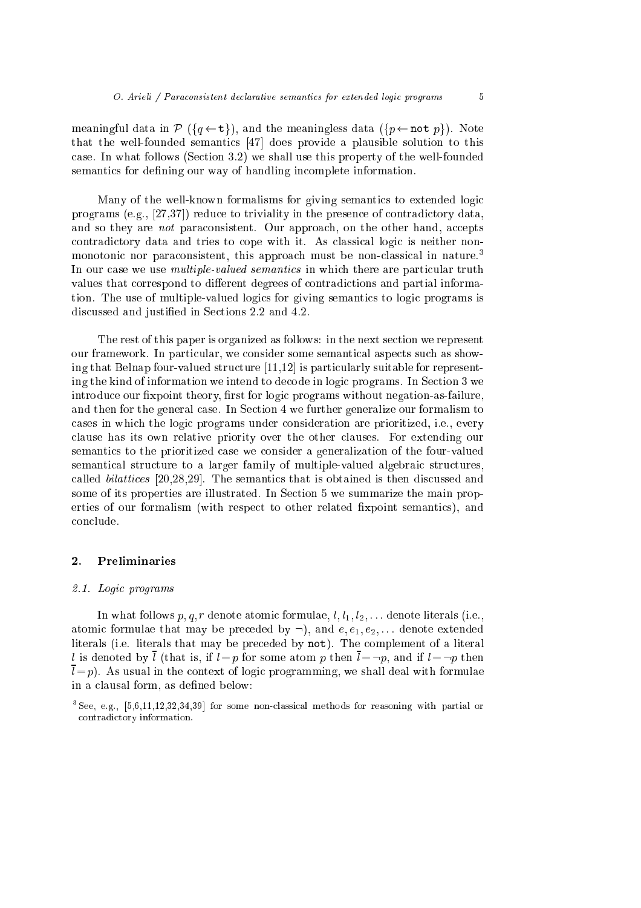meaningful data in  $P(\lbrace q \leftarrow t \rbrace)$ , and the meaningless data  $(\lbrace p \leftarrow \texttt{not } p \rbrace)$ . Note that the well-founded semantics  $[47]$  does provide a plausible solution to this ase. In what follows (Se
tion 3.2) we shall use this property of the well-founded semantics for defining our way of handling incomplete information.

Many of the well-known formalisms for giving semantics to extended logic programs (e.g.,  $[27,37]$ ) reduce to triviality in the presence of contradictory data, and so they are *not* paraconsistent. Our approach, on the other hand, accepts contradictory data and tries to cope with it. As classical logic is neither nonmonotonic nor paraconsistent, this approach must be non-classical in nature.<sup>3</sup> In our case we use *multiple-valued semantics* in which there are particular truth values that correspond to different degrees of contradictions and partial information. The use of multiple-valued logics for giving semantics to logic programs is discussed and justified in Sections 2.2 and 4.2.

The rest of this paper is organized as follows: in the next se
tion we represent our framework. In particular, we consider some semantical aspects such as showing that Belnap four-valued structure  $[11,12]$  is particularly suitable for representing the kind of information we intend to decode in logic programs. In Section 3 we introduce our fixpoint theory, first for logic programs without negation-as-failure, and then for the general case. In Section 4 we further generalize our formalism to cases in which the logic programs under consideration are prioritized, i.e., every lause has its own relative priority over the other lauses. For extending our semantics to the prioritized case we consider a generalization of the four-valued semantical structure to a larger family of multiple-valued algebraic structures. called *bilattices* [20,28,29]. The semantics that is obtained is then discussed and some of its properties are illustrated. In Section 5 we summarize the main properties of our formalism (with respect to other related fixpoint semantics), and on
lude.

# 2. Preliminaries

#### 2.1. Logic programs

In what follows p, q, r denote atomic formulae,  $l, l_1, l_2, \ldots$  denote literals (i.e., atomic formulae that may be preceded by  $\neg$ ), and  $e, e_1, e_2, \dots$  denote extended literals (i.e. literals that may be preceded by not). The complement of a literal l is denoted by  $\overline{l}$  (that is, if  $l = p$  for some atom p then  $\overline{l} = \neg p$ , and if  $l = \neg p$  then  $\bar{l} = p$ ). As usual in the context of logic programming, we shall deal with formulae in a clausal form, as defined below:

<sup>&</sup>quot;See, e.g.,  $[5,6,11,12,32,34,39]$  for some non-classical methods for reasoning with partial or ontradi
tory information.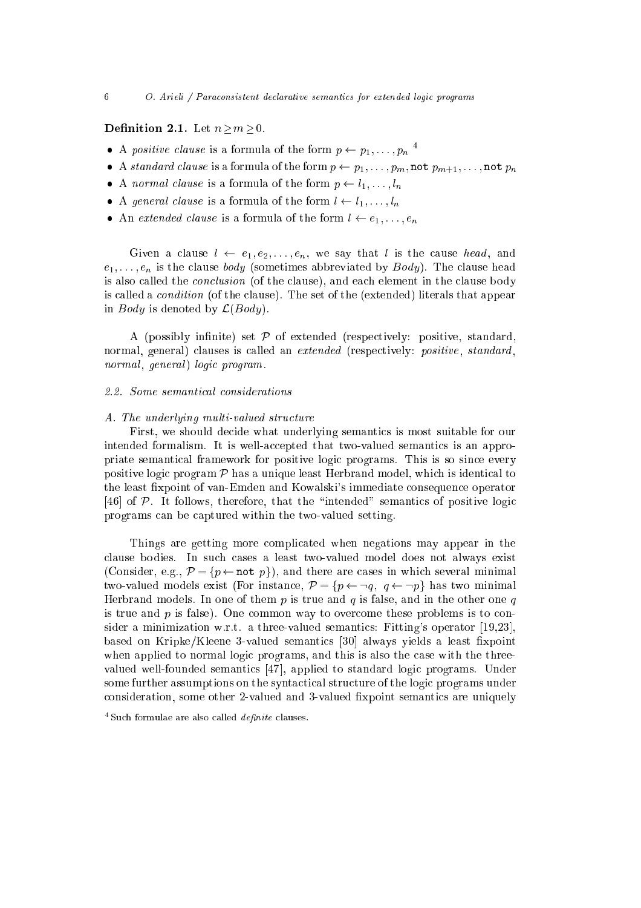**Definition 2.1.** Let  $n > m > 0$ .

- A positive clause is a formula of the form  $p \leftarrow p_1, \ldots, p_n$
- $l^*$  standard problem problem problem problem problem problem problem problem problem problem problem problem problem problem problem problem problem problem problem problem problem problem problem problem problem proble
- a normal of the form p lause is a form p lause is a form p line is set of the formula of  $\mu$
- <sup>A</sup> general lause is <sup>a</sup> formula of the form l l1; : : : ; ln
- An extended lause is <sup>a</sup> formula of the form l e1; : : : ; en

Given a clause  $l \leftarrow e_1, e_2, \ldots, e_n$ , we say that l is the cause head, and  $e_1, \ldots, e_n$  is the clause *body* (sometimes abbreviated by  $Body$ ). The clause head is also called the *conclusion* (of the clause), and each element in the clause body is called a *condition* (of the clause). The set of the (extended) literals that appear in *Body* is denoted by  $\mathcal{L}(Body)$ .

A (possibly infinite) set  $P$  of extended (respectively: positive, standard, normal, general) clauses is called an *extended* (respectively: *positive, standard,* normal, general) logic program.

#### 2.2. Some semantical considerations

#### A. The underlying multi-valued structure

First, we should decide what underlying semantics is most suitable for our intended formalism. It is well-accepted that two-valued semantics is an appropriate semanti
al framework for positive logi programs. This is so sin
e every positive logic program  $\mathcal P$  has a unique least Herbrand model, which is identical to the least fixpoint of van-Emden and Kowalski's immediate consequence operator [46] of  $P$ . It follows, therefore, that the "intended" semantics of positive logic programs an be aptured within the two-valued setting.

Things are getting more ompli
ated when negations may appear in the clause bodies. In such cases a least two-valued model does not always exist (Consider, e.g.,  $P = \{p \leftarrow \text{not } p\}$ ), and there are cases in which several minimal two-valued models exist (For instance,  $P = \{p \leftarrow \neg q, q \leftarrow \neg p\}$  has two minimal Herbrand models. In one of them  $p$  is true and  $q$  is false, and in the other one  $q$ is true and  $p$  is false). One common way to overcome these problems is to consider a minimization w.r.t. a three-valued semantics: Fitting's operator  $[19,23]$ , based on Kripke/Kleene 3-valued semantics  $[30]$  always yields a least fixpoint when applied to normal logic programs, and this is also the case with the threevalued well-founded semantics [47], applied to standard logic programs. Under some further assumptions on the syntactical structure of the logic programs under consideration, some other 2-valued and 3-valued fixpoint semantics are uniquely

 $\sim$  Such formulae are also called *definite* clauses.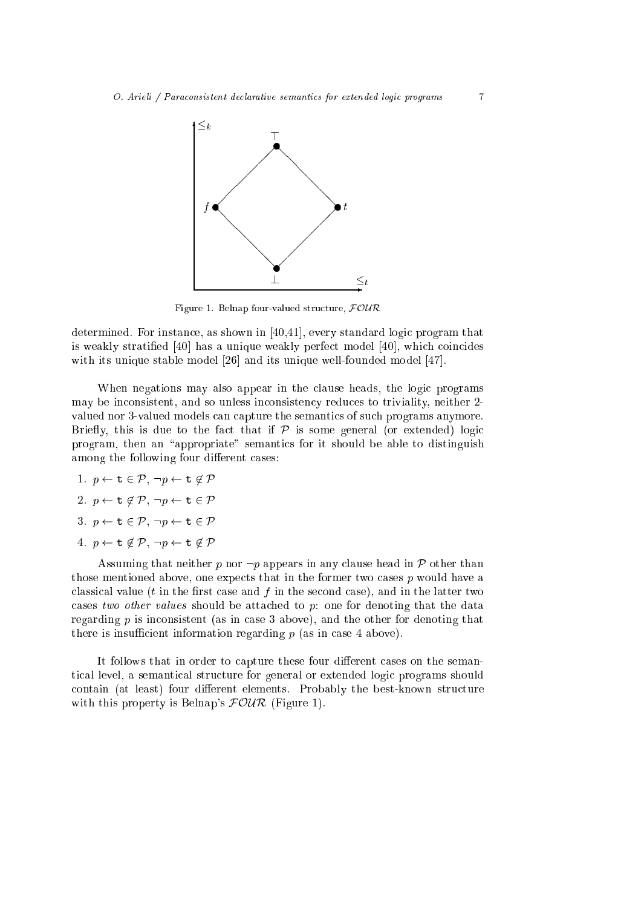

Figure 1. Belnap four-valued structure,  $FOUR$ 

determined. For instance, as shown in  $[40, 41]$ , every standard logic program that is weakly stratified  $[40]$  has a unique weakly perfect model  $[40]$ , which coincides with its unique stable model  $[26]$  and its unique well-founded model  $[47]$ .

When negations may also appear in the clause heads, the logic programs may be in
onsistent, and so unless in
onsisten
y redu
es to triviality, neither 2 valued nor 3-valued models an apture the semanti
s of su
h programs anymore. Briefly, this is due to the fact that if  $P$  is some general (or extended) logic program, then an "appropriate" semantics for it should be able to distinguish among the following four different cases:

- 1.  $p \leftarrow \mathbf{t} \in \mathcal{P}, \neg p \leftarrow \mathbf{t} \notin \mathcal{P}$
- 2.  $p \leftarrow t \notin \mathcal{P}, \neg p \leftarrow t \in \mathcal{P}$
- 3.  $p \leftarrow \mathbf{t} \in \mathcal{P}, \neg p \leftarrow \mathbf{t} \in \mathcal{P}$
- 4.  $p \leftarrow t \notin \mathcal{P}, \neg p \leftarrow t \notin \mathcal{P}$

Assuming that neither p nor  $\neg p$  appears in any clause head in  $\mathcal P$  other than those mentioned above, one expects that in the former two cases  $p$  would have a classical value ( $t$  in the first case and  $f$  in the second case), and in the latter two cases two other values should be attached to  $p$ : one for denoting that the data regarding  $p$  is inconsistent (as in case 3 above), and the other for denoting that there is insufficient information regarding  $p$  (as in case 4 above).

It follows that in order to capture these four different cases on the semantical level, a semantical structure for general or extended logic programs should contain (at least) four different elements. Probably the best-known structure with this property is Belnap's  $FOWR$  (Figure 1).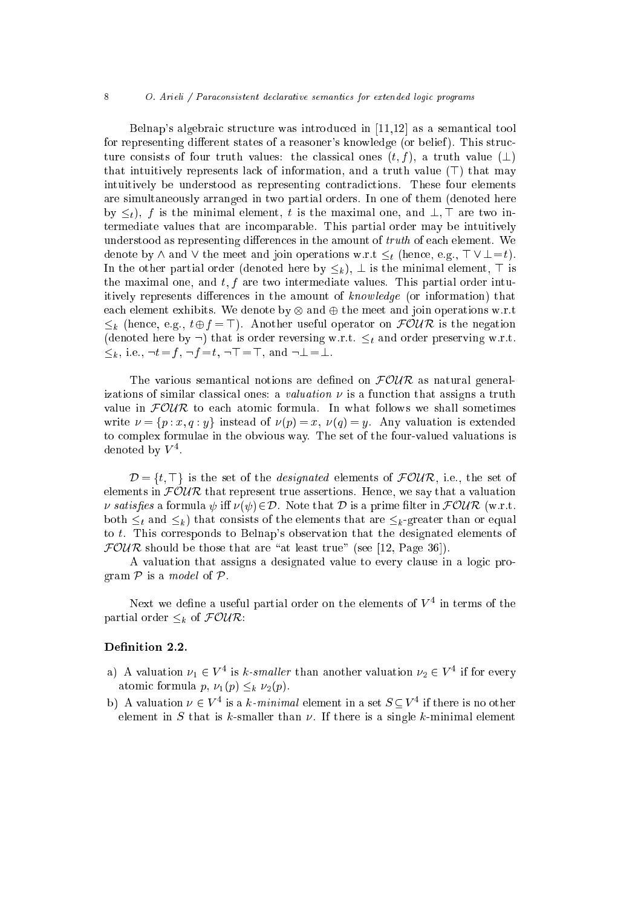#### 8 0. Arieli / Paraconsistent declarative semantics for extended logic programs

Belnap's algebraic structure was introduced in  $[11,12]$  as a semantical tool for representing different states of a reasoner's knowledge (or belief). This structure consists of four truth values: the classical ones  $(t, f)$ , a truth value  $(\perp)$ that intuitively represents lack of information, and a truth value  $(\top)$  that may intuitively be understood as representing contradictions. These four elements are simultaneously arranged in two partial orders. In one of them (denoted here by  $\leq_t$ , f is the minimal element, t is the maximal one, and  $\perp$ ,  $\top$  are two intermediate values that are in
omparable. This partial order may be intuitively understood as representing differences in the amount of truth of each element. We denote by  $\wedge$  and  $\vee$  the meet and join operations w.r.t  $\leq_t$  (hence, e.g.,  $\top \vee \bot = t$ ). In the other partial order (denoted here by  $\leq_k$ ),  $\perp$  is the minimal element,  $\top$  is the maximal one, and  $t, f$  are two intermediate values. This partial order intuitively represents differences in the amount of knowledge (or information) that ense erement en denote by denote by the meet and in the meet and  $\alpha$  $\leq_k$  (hence, e.g.,  $t \oplus f = \top$ ). Another useful operator on  $\mathcal{FOUR}$  is the negation (denoted here by  $\neg$ ) that is order reversing w.r.t.  $\leq_t$  and order preserving w.r.t.  $\leq_k$ , i.e.,  $\neg t = f$ ,  $\neg f = t$ ,  $\neg T = \top$ , and  $\neg \bot = \bot$ .

The various semantical notions are defined on  $\mathcal{FOUR}$  as natural generalizations of similar classical ones: a *valuation*  $\nu$  is a function that assigns a truth value in  $FOMR$  to each atomic formula. In what follows we shall sometimes write  $\nu = \{p : x, q : y\}$  instead of  $\nu(p) = x, \nu(q) = y$ . Any valuation is extended to omplex formulae in the obvious way. The set of the four-valued valuations is denoted by *v* -.

D = ft; >g is the set of the designated elements of FOUR, i.e., the set of elements in  $F\mathcal{OUR}$  that represent true assertions. Hence, we say that a valuation v satisfies a formula  $\psi$  iff  $\nu(\psi) \in \mathcal{D}$ . Note that  $\mathcal D$  is a prime filter in  $\mathcal{FOUR}$  (w.r.t. both  $\leq_t$  and  $\leq_k$ ) that consists of the elements that are  $\leq_k$ -greater than or equal to t. This orresponds to Belnap's observation that the designated elements of Four show that is a least true that the sees that the least true  $\mathcal{A}$  is a set  $\mathcal{A}$ 

A valuation that assigns a designated value to every clause in a logic program  $P$  is a model of  $P$ .

 $\alpha$  we define a useful partial order on the elements of  $\nu$  - in terms of the partial order  $\leq_k$  of  $\text{FOUR}:$ 

# Definition 2.2.

- a) A valuation  $\nu_1 \in V$  is *k-smaller* than another valuation  $\nu_2 \in V$  if for every atomic formula p,  $\nu_1(p) \leq_k \nu_2(p)$ .
- b) A valuation  $\nu \in V^{\perp}$  is a k-minimal element in a set  $S \subseteq V^{\perp}$  if there is no other element in S that is k-smaller than  $\nu$ . If there is a single k-minimal element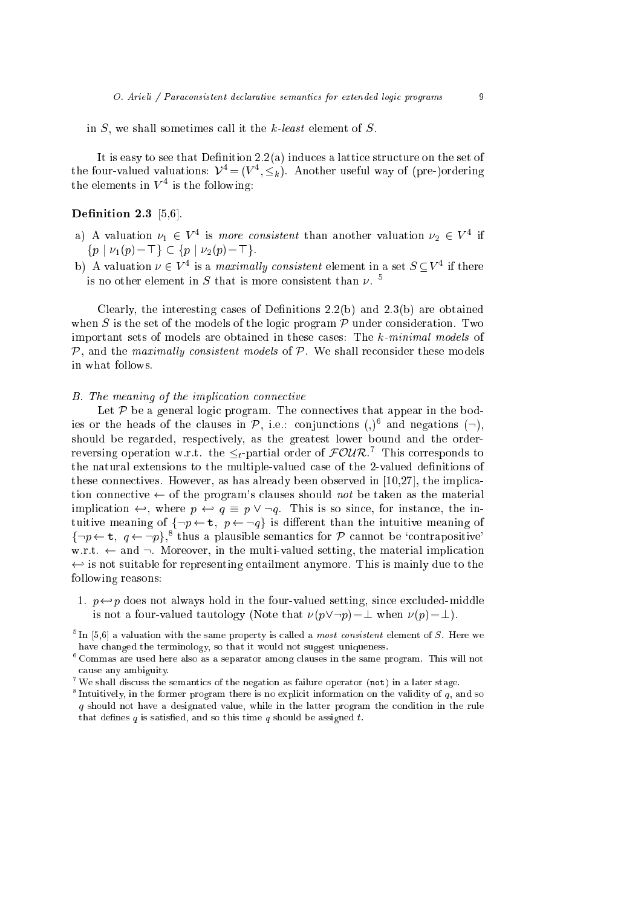in  $S$ , we shall sometimes call it the  $k$ -least element of  $S$ .

It is easy to see that Definition  $2.2(a)$  induces a lattice structure on the set of the four-valued valuations:  $V^{\dagger} = (V^{\dagger}, \leq_k)$ . Another useful way of (pre-)ordering  $\mu$  are elements in  $V$   $\bar{\mu}$  is the following:

# Definition 2.3  $[5,6]$ .

- a) A valuation  $\nu_1 \in V$  is more consistent than another valuation  $\nu_2 \in V$  if  ${p \mid \nu_1(p) = \top} \subset {p \mid \nu_2(p) = \top}.$
- b) A valuation  $\nu \in V^{\perp}$  is a *maximatry consistent* element in a set  $S \subseteq V^{\perp}$  if there is no other element in  $S$  that is more consistent than  $\nu$ .

Clearly, the interesting cases of Definitions  $2.2(b)$  and  $2.3(b)$  are obtained when S is the set of the models of the logic program  $P$  under consideration. Two important sets of models are obtained in these cases: The k-minimal models of  $P$ , and the maximally consistent models of  $P$ . We shall reconsider these models in what follows.

# B. The meaning of the implication connective

Let  $P$  be a general logic program. The connectives that appear in the bodies or the neads of the clauses in  $\beta$ , i.e.: conjunctions (,) and negations ( $\neg$ ), should be regarded, respectively, as the greatest lower bound and the orderreversing operation w.r.t. the  $\leq_t$ -partial order of FOUR. This corresponds to the natural extensions to the multiple-valued case of the 2-valued definitions of these connectives. However, as has already been observed in  $[10,27]$ , the implication connective  $\leftarrow$  of the program's clauses should not be taken as the material implication  $\leftrightarrow$ , where  $p \leftrightarrow q \equiv p \vee \neg q$ . This is so since, for instance, the intuitive meaning of  $\{\neg p \leftarrow t, p \leftarrow \neg q\}$  is different than the intuitive meaning of  $\{\neg p \leftarrow t, q \leftarrow \neg p\}$  thus a plausible semantics for P cannot be 'contrapositive' w.r.t.  $\leftarrow$  and  $\neg$ . Moreover, in the multi-valued setting, the material implication  $\leftrightarrow$  is not suitable for representing entailment anymore. This is mainly due to the following reasons:

- 1.  $p \leftrightarrow p$  does not always hold in the four-valued setting, since excluded-middle is not a four-valued tautology (Note that  $\nu(p \vee \neg p)=\bot$  when  $\nu(p)=\bot$ ).
- $\lceil$  In  $\lceil$ 5,6 $\rceil$  a valuation with the same property is called a most consistent element of S. Here we have hanged the terminology, so that it would not suggest uniqueness.
- Uommas are used here also as a separator among clauses in the same program. This will not ause any ambiguity.
- $\,$  We shall discuss the semantics of the negation as failure operator (not) in a later stage.
- Intuitively, in the former program there is no explicit information on the validity of  $q$ , and so q should not have a designated value, while in the latter program the condition in the rule that defines  $q$  is satisfied, and so this time  $q$  should be assigned  $t$ .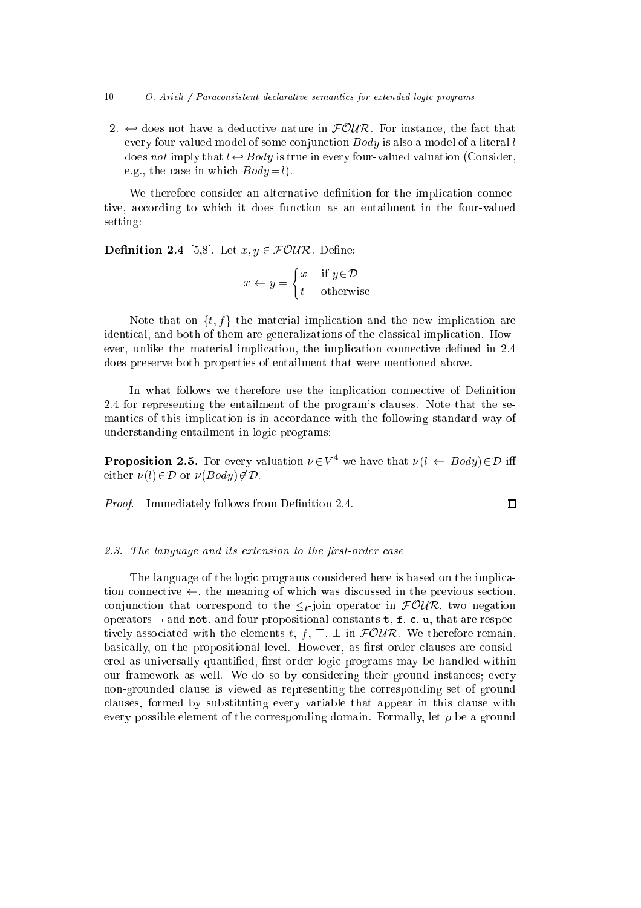2.  $\leftrightarrow$  does not have a deductive nature in  $FOWR$ . For instance, the fact that every four-valued model of some conjunction  $Body$  is also a model of a literal  $l$ does not imply that  $l \leftrightarrow Body$  is true in every four-valued valuation (Consider, e.g., the case in which  $Body = l$ .

We therefore consider an alternative definition for the implication connective, according to which it does function as an entailment in the four-valued setting:

**Definition 2.4** [5,8]. Let  $x, y \in \mathcal{FOUR}$ . Define:

x y =  $\sim$  $\sim$   $\sim$   $\sim$   $\sim$   $\sim$ 

Note that on  $\{t, f\}$  the material implication and the new implication are identi
al, and both of them are generalizations of the lassi
al impli
ation. However, unlike the material implication, the implication connective defined in 2.4 does preserve both properties of entailment that were mentioned above.

In what follows we therefore use the implication connective of Definition 2.4 for representing the entailment of the program's lauses. Note that the semantics of this implication is in accordance with the following standard way of understanding entailment in logic programs:

**Proposition 2.5.** For every valuation  $\nu \in V^4$  we have that  $\nu (l \leftarrow Body) \in \mathcal{D}$  iff either  $\nu(l) \in \mathcal{D}$  or  $\nu(Body) \notin \mathcal{D}$ .

*Proof.* Immediately follows from Definition 2.4.

 $\Box$ 

### 2.3. The language and its extension to the first-order case

The language of the logic programs considered here is based on the implication connective  $\leftarrow$ , the meaning of which was discussed in the previous section, conjunction that correspond to the  $\leq_t$ -join operator in  $\mathcal{FOUR}$ , two negation operators  $\neg$  and not, and four propositional constants t, f, c, u, that are respectively associated with the elements t, f,  $\top$ ,  $\bot$  in  $\mathcal{FOUR}$ . We therefore remain, basically, on the propositional level. However, as first-order clauses are considered as universally quantified, first order logic programs may be handled within our framework as well. We do so by onsidering their ground instan
es; every non-grounded lause is viewed as representing the orresponding set of ground clauses, formed by substituting every variable that appear in this clause with every possible element of the corresponding domain. Formally, let  $\rho$  be a ground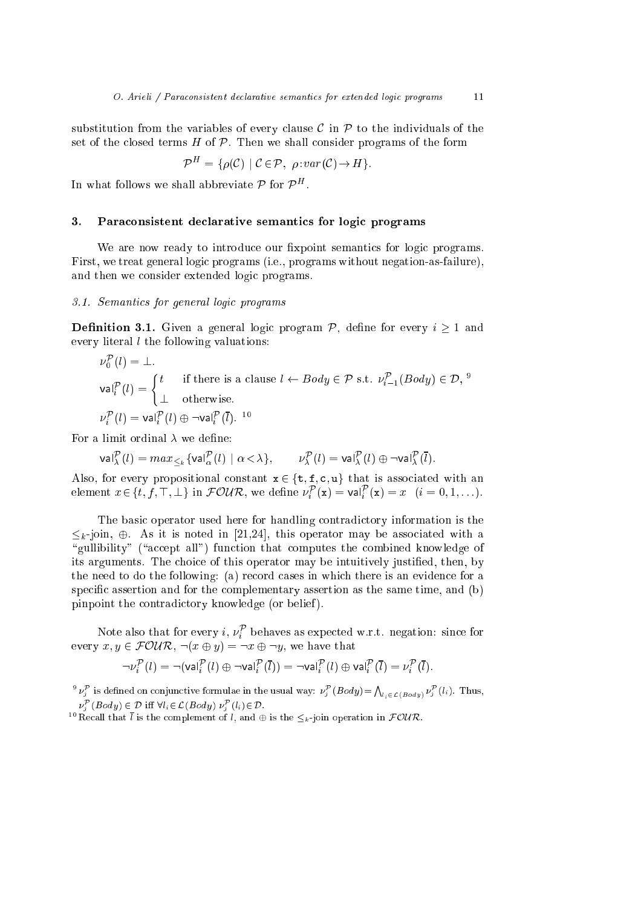substitution from the variables of every clause  $\mathcal C$  in  $\mathcal P$  to the individuals of the set of the closed terms  $H$  of  $P$ . Then we shall consider programs of the form

$$
\mathcal{P}^H = \{ \rho(\mathcal{C}) \mid \mathcal{C} \in \mathcal{P}, \ \rho : var(\mathcal{C}) \to H \}.
$$

In what follows we shall abbreviate  $P$  for  $P$ .

#### $\overline{3}$ . Paraconsistent declarative semantics for logic programs

We are now ready to introduce our fixpoint semantics for logic programs. First, we treat general logic programs (i.e., programs without negation-as-failure), and then we onsider extended logi programs.

# 3.1. Semantics for general logic programs

**Definition 3.1.** Given a general logic program  $P$ , define for every  $i > 1$  and every literal  $l$  the following valuations:

$$
\nu_0^{\mathcal{P}}(l) = \bot.
$$
  
\n
$$
\mathsf{val}_i^{\mathcal{P}}(l) = \begin{cases} t & \text{if there is a clause } l \leftarrow Body \in \mathcal{P} \text{ s.t. } \nu_{i-1}^{\mathcal{P}}(Body) \in \mathcal{D}, \ ^{\mathcal{Q}} \\ \bot & \text{otherwise.} \end{cases}
$$
  
\n
$$
\nu_i^{\mathcal{P}}(l) = \mathsf{val}_i^{\mathcal{P}}(l) \oplus \neg \mathsf{val}_i^{\mathcal{P}}(\overline{l}). \ ^{10}
$$

For a limit ordinal  $\lambda$  we define:

$$
\mathsf{val}^{\mathcal{P}}_{\lambda}(l) = max_{\leq k} \{ \mathsf{val}^{\mathcal{P}}_{\alpha}(l) \mid \alpha < \lambda \}, \qquad \nu^{\mathcal{P}}_{\lambda}(l) = \mathsf{val}^{\mathcal{P}}_{\lambda}(l) \oplus \neg \mathsf{val}^{\mathcal{P}}_{\lambda}(\overline{l}).
$$

Also, for every propositional constant  $x \in \{t, f, c, u\}$  that is associated with an element  $x \in \{t, f, \bot\}$  in FUUR, we define  $\nu_i^s(x) = \text{val}_i^s(x) = x \quad (i = 0, 1, \ldots).$ 

The basi operator used here for handling ontradi
tory information is the  $\leq_k$ -join,  $\oplus$ . As it is noted in [21,24], this operator may be associated with a "gullibility" ("accept all") function that computes the combined knowledge of its arguments. The choice of this operator may be intuitively justified, then, by the need to do the following: (a) re
ord ases in whi
h there is an eviden
e for a specific assertion and for the complementary assertion as the same time, and (b) pinpoint the contradictory knowledge (or belief).

Note also that for every  $i, \nu_i$  behaves as expected w.r.t. negation: since for every  $x, y \in \mathcal{FOUR}$ ,  $\neg(x \oplus y) = \neg x \oplus \neg y$ , we have that

$$
\neg\nu_i^{\mathcal{P}}(l) = \neg(\mathsf{val}_i^{\mathcal{P}}(l) \oplus \neg \mathsf{val}_i^{\mathcal{P}}(\overline{l})) = \neg \mathsf{val}_i^{\mathcal{P}}(l) \oplus \mathsf{val}_i^{\mathcal{P}}(\overline{l}) = \nu_i^{\mathcal{P}}(\overline{l}).
$$

 $\psi_j^p$  is defined on conjunctive formulae in the usual way:  $\nu_j^{\mathcal{P}}(Body) = \bigwedge_{l_i \in \mathcal{L}(Body)} \nu_j^{\mathcal{P}}(l_i)$ . Thus,

 $v_j$  (*Boay*)  $\in D$  iff  $\nabla u_i \in L(\text{Body})$   $\nu_j$  ( $u_i \in D$ .<br><sup>10</sup> Recall that  $\overline{l}$  is the complement of l, and  $\oplus$  is the  $\leq_k$ -join operation in  $\mathcal{FOUR}$ .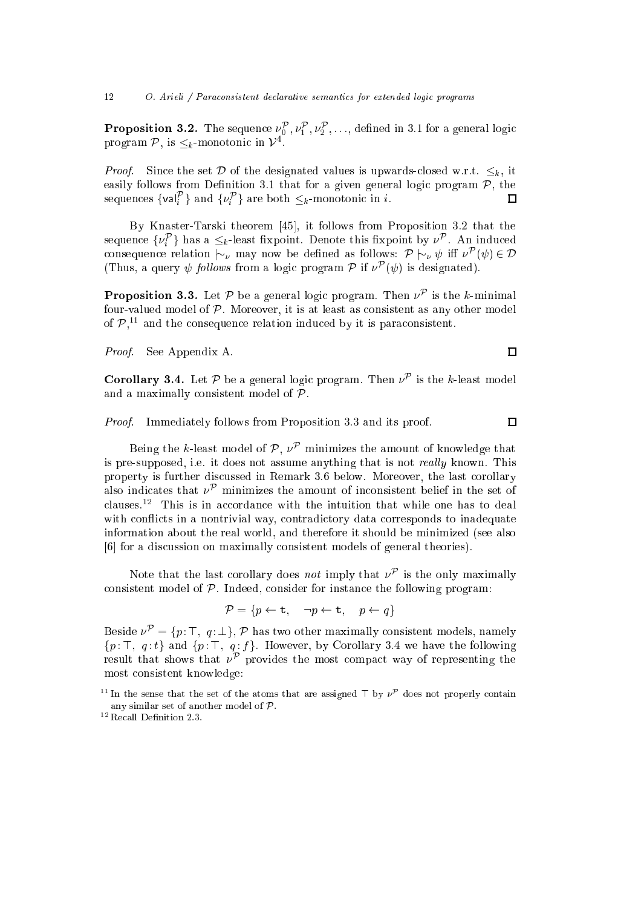**Proposition 5.2.** The sequence  $\nu_0$ ,  $\nu_1$ ,  $\nu_2$ , ..., defined in 3.1 for a general logic program  $P$ , is  $\leq_k$ -monotonic in  $V^*$ .

*Proof.* Since the set D of the designated values is upwards-closed w.r.t.  $\leq_k$ , it easily follows from Definition 3.1 that for a given general logic program  $P$ , the  $\Box$ sequences {vai} } and { $\nu_i$  } are both  $\leq_k$ -monotonic in  $i.$ 

By Knaster-Tarski theorem [45], it follows from Proposition 3.2 that the sequence  $\{\nu_i\}$  has a  $\leq_k$ -least inxpoint. Denote this inxpoint by  $\nu$  . An induced consequence relation  $\sim_{\nu}$  may now be defined as follows:  $P \sim_{\nu} \psi$  in  $\nu^{\cdot}(\psi) \in D$ (I nus, a query  $\psi$  *follows* from a logic program  $P$  if  $\nu$  ( $\psi$ ) is designated).

**Proposition 3.3.** Let P be a general logic program. Then  $\nu$  is the  $\kappa$ -minimal four-valued model of  $P$ . Moreover, it is at least as consistent as any other model of  $P$ , and the consequence relation induced by it is paraconsistent.

Proof. See Appendix A.

 $\Box$ 

Corollary 5.4. Let  $\beta$  be a general logic program. Then  $\nu$  is the k-least model and a maximally consistent model of  $P$ .

#### Proof. Immediately follows from Proposition 3.3 and its proof.  $\Box$

Being the k-least model of  $\mathcal{P}, \nu^{\mathcal{P}}$  minimizes the amount of knowledge that is pre-supposed, i.e. it does not assume anything that is not *really* known. This property is further discussed in Remark 3.6 below. More in Remark 3.6 below. More in Remark 2.6 below. also indicates that  $\nu^+$  minimizes the amount of inconsistent belief in the set of clauses.<sup>12</sup> This is in accordance with the intuition that while one has to deal with conflicts in a nontrivial way, contradictory data corresponds to inadequate information about the real world, and therefore it should be minimized (see also [6] for a discussion on maximally consistent models of general theories).

Note that the last corollary does not imply that  $\nu^*$  is the only maximally consistent model of  $P$ . Indeed, consider for instance the following program:

$$
\mathcal{P} = \{ p \leftarrow \mathbf{t}, \quad \neg p \leftarrow \mathbf{t}, \quad p \leftarrow q \}
$$

Beside  $\nu^{\mathcal{P}} = \{p : \top, q : \bot\}$ ,  $\mathcal{P}$  has two other maximally consistent models, namely  ${p:\top, q:t}$  and  ${p:\top, q:f}$ . However, by Corollary 3.4 we have the following result that shows that  $\nu^+$  provides the most compact way of representing the most onsistent knowledge:

 $\lceil \cdot \rceil$  in the sense that the set of the atoms that are assigned  $\lceil \cdot \rceil$  by  $\nu^+$  does not properly contain any similar set of another model of P.

<sup>- -</sup> Recall Definition 2.3.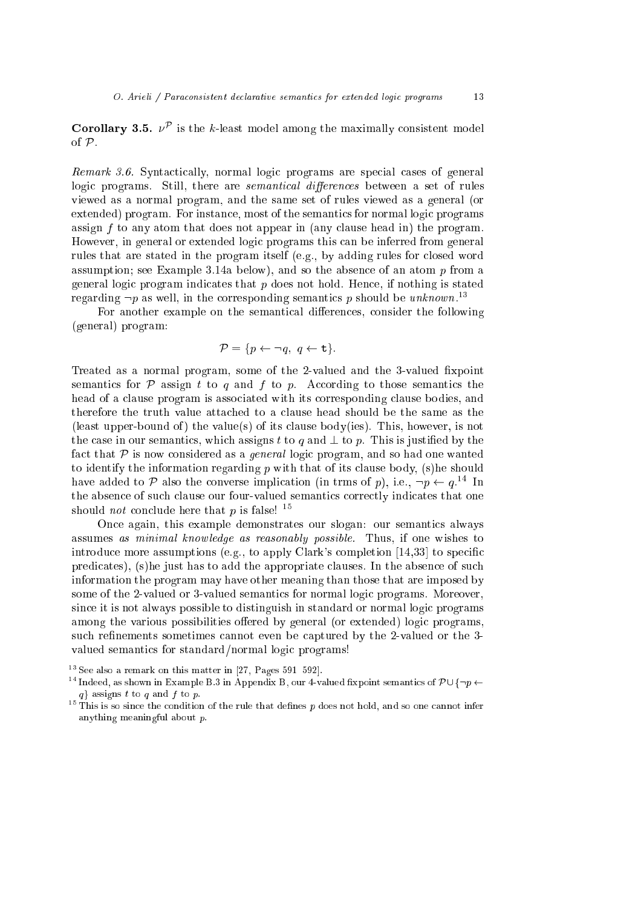Coronary 3.5.  $\nu$  is the k-least model among the maximally consistent model of P.

Remark 3.6. Syntactically, normal logic programs are special cases of general logic programs. Still, there are *semantical differences* between a set of rules viewed as a normal program, and the same set of rules viewed as a general (or extended) program. For instance, most of the semantics for normal logic programs assign  $f$  to any atom that does not appear in (any clause head in) the program. However, in general or extended logic programs this can be inferred from general rules that are stated in the program itself (e.g., by adding rules for closed word assumption; see Example 3.14a below), and so the absence of an atom  $p$  from a general logic program indicates that  $p$  does not hold. Hence, if nothing is stated regarding  $\neg p$  as wen, in the corresponding semantics p should be  $unknown$ .

For another example on the semantical differences, consider the following (general) program:

$$
\mathcal{P} = \{ p \leftarrow \neg q, \ q \leftarrow \mathtt{t} \}.
$$

Treated as a normal program, some of the 2-valued and the 3-valued fixpoint semantics for  $P$  assign t to q and f to p. According to those semantics the head of a clause program is associated with its corresponding clause bodies, and therefore the truth value atta
hed to a lause head should be the same as the (least upper-bound of) the value(s) of its clause body(ies). This, however, is not the case in our semantics, which assigns t to q and  $\perp$  to p. This is justified by the fact that  $P$  is now considered as a *general* logic program, and so had one wanted to identify the information regarding  $p$  with that of its clause body, (s) he should have added to P also the converse implication (in trins of p), i.e.,  $\neg p \leftarrow q$ . the absence of such clause our four-valued semantics correctly indicates that one should *not* conclude here that p is false!  $15$ 

Once again, this example demonstrates our slogan: our semantics always assumes as minimal knowledge as reasonably possible. Thus, if one wishes to introduce more assumptions (e.g., to apply Clark's completion  $[14,33]$  to specific predicates), (s)he just has to add the appropriate clauses. In the absence of such information the program may have other meaning than those that are imposed by some of the 2-valued or 3-valued semantics for normal logic programs. Moreover, since it is not always possible to distinguish in standard or normal logic programs among the various possibilities offered by general (or extended) logic programs, such refinements sometimes cannot even be captured by the 2-valued or the 3valued semantics for standard/normal logic programs!

 $\sim$  See also a remark on this matter in [27, Pages 591-592].

 $\lceil \cdot \rceil$  Indeed, as shown in Example B.3 in Appendix B, our 4-valued fixpoint semantics of  $P \cup \{\lnot p \leftarrow p\}$  $q$  assigns t to q and f to p.

 $\,$  This is so since the condition of the rule that defines  $p$  does not hold, and so one cannot infer anything meaningful about p.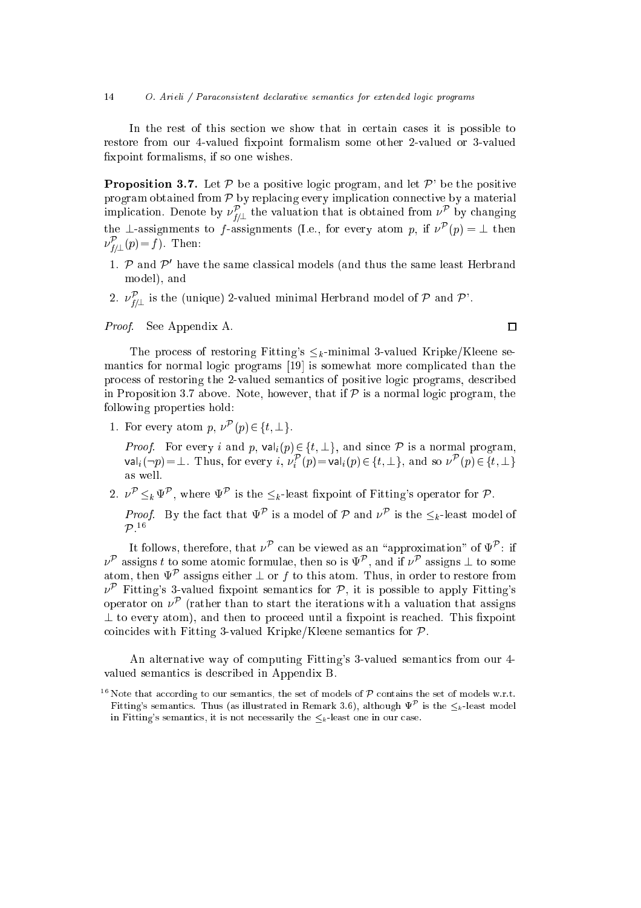14 O. Arieli / Paraconsistent declarative semantics for extended logic programs

In the rest of this section we show that in certain cases it is possible to restore from our 4-valued fixpoint formalism some other 2-valued or 3-valued xpoint formalisms, if so one wishes.

**Proposition 3.7.** Let  $P$  be a positive logic program, and let  $P'$  be the positive program obtained from  $P$  by replacing every implication connective by a material implication. Denote by  $\nu_{f/\perp}^e$  the valuation that is obtained from  $\nu^e$  by changing the  $\perp$ -assignments to f-assignments (i.e., for every atom p, if  $\nu^+(p) = \perp$  then  $\nu_{f/\mid}(p) = f$ . Then:

- 1.  $\nu$  and  $\nu$  have the same classical models (and thus the same least Herbrand model), and
- 2.  $\nu_{f\perp}^{\nu}$  is the (unique) 2-valued minimal Herbrand model of  ${\cal P}$  and  ${\cal P'}$ .

Proof. See Appendix A.

The process of restoring Fitting's  $\leq_k$ -minimal 3-valued Kripke/Kleene semantics for normal logic programs [19] is somewhat more complicated than the pro
ess of restoring the 2-valued semanti
s of positive logi programs, des
ribed in Proposition 3.7 above. Note, however, that if  $P$  is a normal logic program, the following properties hold:

1. For every atom p,  $\nu$  (p)  $\in$  {t,  $\perp$  }.

Proof. For every <sup>i</sup> and p, vali(p) 2 ft; ?g, and sin
e <sup>P</sup> is a normal program, val<sub>i</sub>( $\neg p$ ) =  $\perp$ . Thus, for every i,  $\nu_i$  ( $p$ ) = val<sub>i</sub>( $p$ )  $\in$  {i,  $\perp$ }, and so  $\nu$  ( $p$ )  $\in$  {i,  $\perp$ } as well.

2.  $\nu^{\nu} \leq_k \Psi^{\nu}$ , where  $\Psi^{\nu}$  is the  $\leq_k$ -least fixpoint of Fitting's operator for P.

*Proof.* By the fact that  $\Psi'$  is a model of P and  $\nu'$  is the  $\leq_k$ -least model of P.  $\mathcal{D}$  16

It follows, therefore, that  $\nu^*$  can be viewed as an approximation of  $\Psi^*$  : if  $\nu^{\gamma}$  assigns t to some atomic formulae, then so is  $\Psi^{\gamma}$  , and if  $\nu^{\gamma}$  assigns  $\pm$  to some atom, then  $\Psi^*$  assigns either  $\perp$  or  $\mu$  to this atom. Thus, in order to restore from  $\nu^{\nu}$  Fitting's 3-valued fixpoint semantics for P, it is possible to apply Fitting's operator on  $\nu^+$  (rather than to start the iterations with a valuation that assigns ? to every atom), and then to pro
eed until a xpoint is rea
hed. This xpoint oin
ides with Fitting 3-valued Kripke/Kleene semanti
s for P.

An alternative way of computing Fitting's 3-valued semantics from our 4valued semanti
s is des
ribed in Appendix B.

 $\Box$ 

 $\lq\lq$  note that according to our semantics, the set of models of  $P$  contains the set of models w.r.t. Fitting's semantics. Thus (as illustrated in Remark 3.6), although  $\Psi^{\nu}$  is the  $\leq_k$ -least model in Fitting's semantics, it is not necessarily the  $\leq_k$ -least one in our case.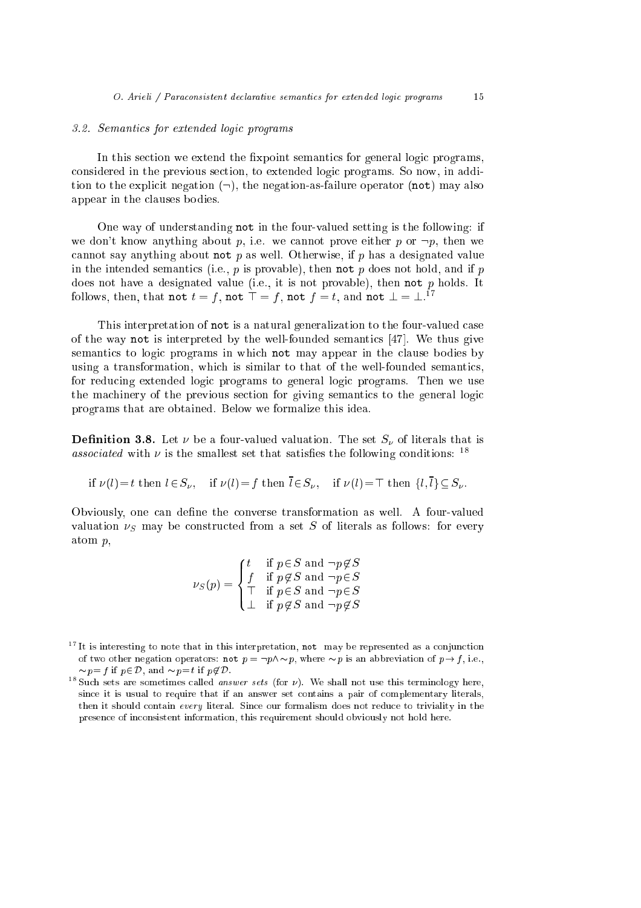#### 3.2. Semantics for extended logic programs

In this section we extend the fixpoint semantics for general logic programs, considered in the previous section, to extended logic programs. So now, in addition to the explicit negation  $(\neg)$ , the negation-as-failure operator (not) may also appear in the lauses bodies.

One way of understanding not in the four-valued setting is the following: if we don't know anything about p, i.e. we cannot prove either p or  $\neg p$ , then we cannot say anything about not p as well. Otherwise, if p has a designated value in the intended semantics (i.e.,  $p$  is provable), then not  $p$  does not hold, and if  $p$ does not have a designated value (i.e., it is not provable), then not  $p$  holds. It follows, then, that not  $t = f$ , not  $\tau = f$ , not  $f = t$ , and not  $\tau = \tau$ .

This interpretation of not is a natural generalization to the four-valued case of the way not is interpreted by the well-founded semantics  $[47]$ . We thus give semantics to logic programs in which not may appear in the clause bodies by using a transformation, which is similar to that of the well-founded semantics, for redu
ing extended logi programs to general logi programs. Then we use the machinery of the previous section for giving semantics to the general logic programs that are obtained. Below we formalize this idea.

**Definition 3.8.** Let  $\nu$  be a four-valued valuation. The set  $S_{\nu}$  of literals that is associated with  $\nu$  is the smallest set that satisfies the following conditions:  $18$ 

if  $\nu(l)=t$  then  $l \in S_{\nu}$ , if  $\nu(l)=f$  then  $\overline{l} \in S_{\nu}$ , if  $\nu(l)=\top$  then  $\{l,\overline{l}\} \subset S_{\nu}$ .

Obviously, one can define the converse transformation as well. A four-valued valuation  $\nu_s$  may be constructed from a set S of literals as follows: for every atom p,

$$
\nu_S(p) = \begin{cases} t & \text{if } p \in S \text{ and } \neg p \notin S \\ f & \text{if } p \notin S \text{ and } \neg p \in S \\ \top & \text{if } p \in S \text{ and } \neg p \in S \\ \bot & \text{if } p \notin S \text{ and } \neg p \notin S \end{cases}
$$

 $^{\circ}$  it is interesting to note that in this interpretation, not may be represented as a conjunction of two other negation operators: not  $p = \neg p \land \neg p$ , where  $\neg p$  is an abbreviation of  $p \rightarrow f$ , i.e.,  $\sim p=f$  if  $p \in \mathcal{D}$ , and  $\sim p=t$  if  $p \notin \mathcal{D}$ .

 $\sim$  Such sets are sometimes called *answer sets* (for  $\nu$ ). We shall not use this terminology here, since it is usual to require that if an answer set contains a pair of complementary literals, then it should contain every literal. Since our formalism does not reduce to triviality in the presen
e of in
onsistent information, this requirement should obviously not hold here.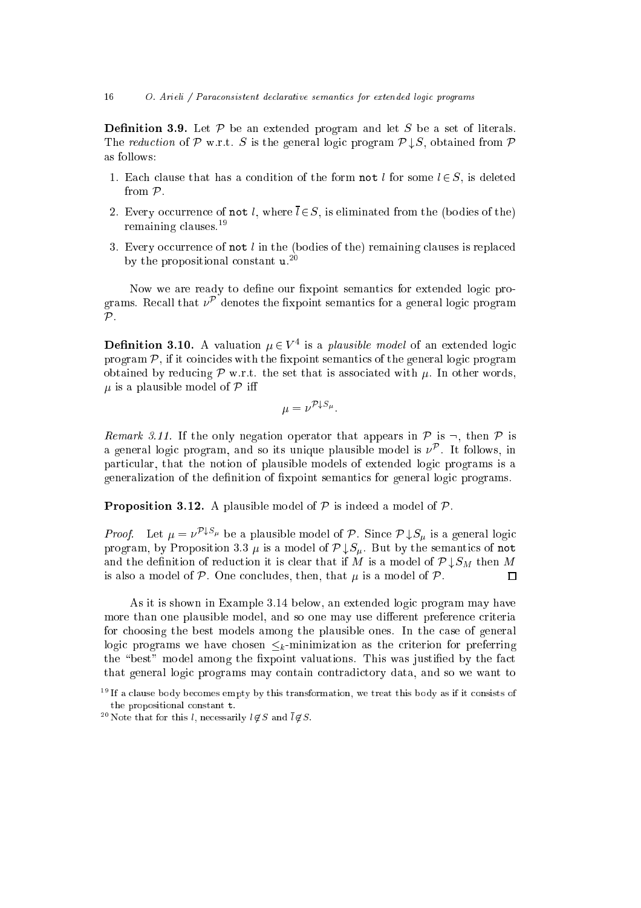**Definition 3.9.** Let  $P$  be an extended program and let S be a set of literals. The reduction of P w.r.t. S is the general logic program  $P \downarrow S$ , obtained from P as follows:

- 1. Each clause that has a condition of the form not l for some  $l \in S$ , is deleted from P.
- 2. Every occurrence of not l, where  $\overline{l} \in S$ , is eliminated from the (bodies of the) remaining lauses.19
- 3. Every occurrence of not  $l$  in the (bodies of the) remaining clauses is replaced by the propositional constant **u**.

Now we are ready to define our fixpoint semantics for extended logic programs. Recall that  $\nu^*$  denotes the fixpoint semantics for a general logic program  $\mathcal{P}$ .

**Definition 3.10.** A valuation  $\mu \in V$  is a *plausible model* of an extended logic program  $P$ , if it coincides with the fixpoint semantics of the general logic program obtained by reducing  $\mathcal{P}$  w.r.t. the set that is associated with  $\mu$ . In other words,  $\mu$  is a plausible model of P iff

$$
\mu=\nu^{\mathcal{P}\downarrow S_{\mu}}.
$$

Remark 3.11. If the only negation operator that appears in  $\mathcal P$  is  $\neg$ , then  $\mathcal P$  is a general logic program, and so its unique plausible model is  $\nu$  . It follows, in parti
ular, that the notion of plausible models of extended logi programs is a generalization of the definition of fixpoint semantics for general logic programs.

**Proposition 3.12.** A plausible model of  $P$  is indeed a model of  $P$ .

*Proof.* Let  $\mu = \nu^{\mathcal{P} \downarrow S_{\mu}}$  be a plausible model of  $\mathcal{P}$ . Since  $\mathcal{P} \downarrow S_{\mu}$  is a general logic program, by Proposition 3.3  $\mu$  is a model of  $P \downarrow S_{\mu}$ . But by the semantics of not and the definition of reduction it is clear that if M is a model of  $P \downarrow S_M$  then M is also a model of  $P$ . One concludes, then, that  $\mu$  is a model of  $P$ .  $\Box$ 

As it is shown in Example 3.14 below, an extended logi program may have more than one plausible model, and so one may use different preference criteria for choosing the best models among the plausible ones. In the case of general logic programs we have chosen  $\leq_k$ -minimization as the criterion for preferring the "best" model among the fixpoint valuations. This was justified by the fact that general logic programs may contain contradictory data, and so we want to

 $\lceil \cdot \rceil$  if a clause body becomes empty by this transformation, we treat this body as if it consists of the propositional onstant t.

 $\lceil \cdot \rceil$  Note that for this l, necessarily  $l \not\in S$  and  $l \not\in S$ .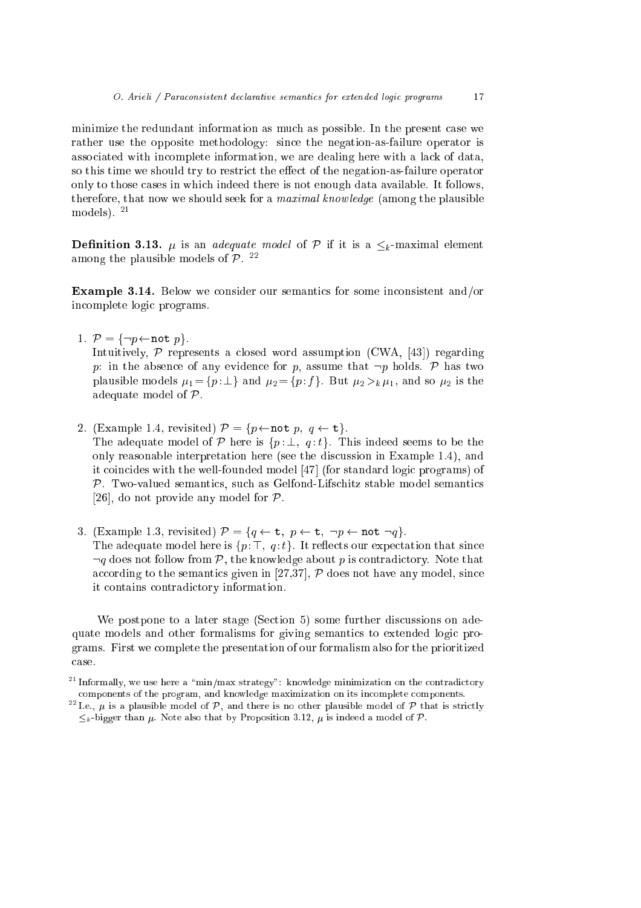minimize the redundant information as mu
h as possible. In the present ase we rather use the opposite methodology: sin
e the negation-as-failure operator is asso
iated with in
omplete information, we are dealing here with a la
k of data, so this time we should try to restrict the effect of the negation-as-failure operator only to those ases in whi
h indeed there is not enough data available. It follows, therefore, that now we should seek for a *maximal knowledge* (among the plausible models). <sup>21</sup>

**Definition 3.13.**  $\mu$  is an *adequate model* of  $\mathcal{P}$  if it is a  $\leq_k$ -maximal element among the plausible models of  $P$ .  $^{-1}$ 

Example 3.14. Below we consider our semantics for some inconsistent and/or incomplete logic programs.

1.  $P = {\neg p \leftarrow \texttt{not } p}.$ 

Intuitively,  $P$  represents a closed word assumption (CWA, [43]) regarding p: in the absence of any evidence for p, assume that  $\neg p$  holds. P has two plausible models  $\mu_1 = \{p : \perp\}$  and  $\mu_2 = \{p : f\}$ . But  $\mu_2 >_k \mu_1$ , and so  $\mu_2$  is the adequate model of P.

- 2. (Example 1.4, revisited)  $\mathcal{P} = \{p \leftarrow \texttt{not } p, q \leftarrow \texttt{t}\}.$ The adequate model of  $P$  here is  $\{p : \bot, q : t\}$ . This indeed seems to be the only reasonable interpretation here (see the dis
ussion in Example 1.4), and it coincides with the well-founded model  $[47]$  (for standard logic programs) of P. Two-valued semantics, such as Gelfond-Lifschitz stable model semantics [26], do not provide any model for  $P$ .
- 3. (Example 1.3, revisited)  $P = \{q \leftarrow t, p \leftarrow t, \neg p \leftarrow \text{not } \neg q\}.$ The adequate model here is  $\{p:\top,\ q:t\}$ . It reflects our expectation that since  $\neg q$  does not follow from  $\mathcal{P}$ , the knowledge about p is contradictory. Note that according to the semantics given in [27,37],  $P$  does not have any model, since it ontains ontradi
tory information.

We postpone to a later stage (Section 5) some further discussions on adequate models and other formalisms for giving semantics to extended logic programs. First we omplete the presentation of our formalism also for the prioritized ase.

 $^{-1}$  informally, we use here a "min/max strategy": knowledge minimization on the contradictory omponents of the program, and knowledge maximization on its in
omplete omponents.

 $^{-1}$  i.e.,  $\mu$  is a plausible model of  $P$ , and there is no other plausible model of  $P$  that is strictly  $\leq_k$ -bigger than  $\mu$ . Note also that by Proposition 3.12,  $\mu$  is indeed a model of P.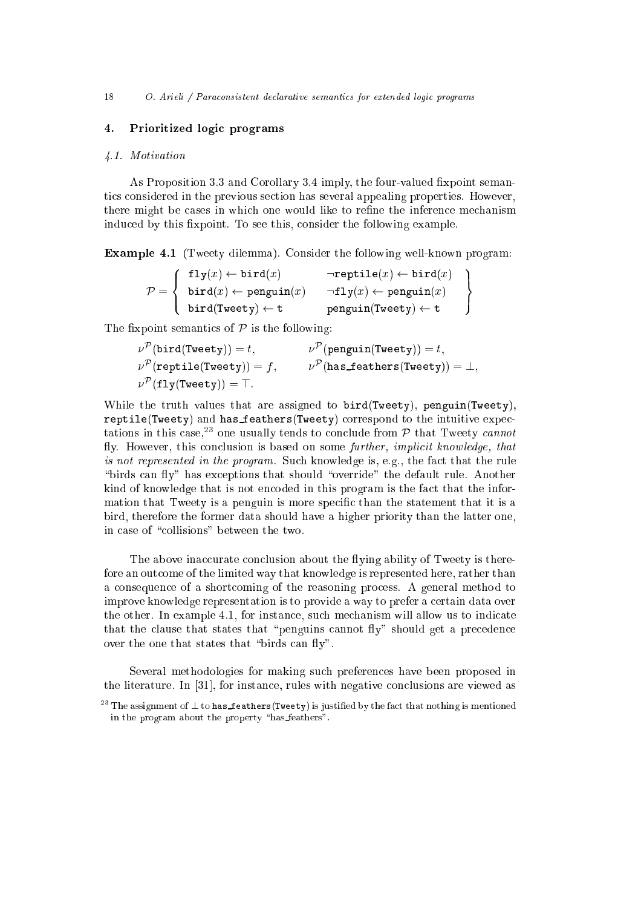# 4. Prioritized logic programs

# 4.1. Motivation

As Proposition 3.3 and Corollary 3.4 imply, the four-valued fixpoint semanti
s onsidered in the previous se
tion has several appealing properties. However, there might be cases in which one would like to refine the inference mechanism induced by this fixpoint. To see this, consider the following example.

Example 4.1 (Tweety dilemma). Consider the following well-known program:

$$
\mathcal{P} = \left\{\begin{array}{ll}\mathtt{fly}(x) \leftarrow \mathtt{bird}(x) & \neg \mathtt{reptide}(x) \leftarrow \mathtt{bird}(x) \\ \mathtt{bird}(x) \leftarrow \mathtt{penguin}(x) & \neg \mathtt{fly}(x) \leftarrow \mathtt{penguin}(x) \\ \mathtt{bird}(\mathtt{Tweety}) \leftarrow \mathtt{t} & \mathtt{penguin}(\mathtt{Tweety}) \leftarrow \mathtt{t}\end{array}\right.\right\}
$$

The fixpoint semantics of  $P$  is the following:

$$
\nu^{\mathcal{P}}(\texttt{bird}(\texttt{Tweety})) = t, \hspace{1cm} \nu^{\mathcal{P}}(\texttt{penguin}(\texttt{Tweety})) = t, \\ \nu^{\mathcal{P}}(\texttt{reptide}(\texttt{Tweety})) = f, \hspace{1cm} \nu^{\mathcal{P}}(\texttt{has\_features}(\texttt{Tweety})) = \bot, \\ \nu^{\mathcal{P}}(\texttt{fly}(\texttt{Tweety})) = \top.
$$

While the truth values that are assigned to  $\text{bird}(\text{Treety})$ ,  $\text{penguin}(\text{Treety})$ , reptile(Tweety) and has feathers(Tweety) correspond to the intuitive expectations in this case,<sup>23</sup> one usually tends to conclude from  $P$  that Tweety cannot fly. However, this conclusion is based on some further, implicit knowledge, that is not represented in the program. Such knowledge is, e.g., the fact that the rule "birds can fly" has exceptions that should "override" the default rule. Another kind of knowledge that is not encoded in this program is the fact that the information that Tweety is a penguin is more specific than the statement that it is a bird, therefore the former data should have a higher priority than the latter one, in case of "collisions" between the two.

The above inaccurate conclusion about the flying ability of Tweety is therefore an out
ome of the limited way that knowledge is represented here, rather than a onsequen
e of a short
oming of the reasoning pro
ess. A general method to improve knowledge representation is to provide a way to prefer a ertain data over the other. In example 4.1, for instan
e, su
h me
hanism will allow us to indi
ate that the clause that states that "penguins cannot  $f(y)$ " should get a precedence over the one that states that "birds can fly".

Several methodologies for making su
h preferen
es have been proposed in the literature. In  $[31]$ , for instance, rules with negative conclusions are viewed as

 $^{-1}$  The assignment of  $\pm$  to has feathers(Tweety) is justified by the fact that nothing is mentioned in the program about the property "has feathers".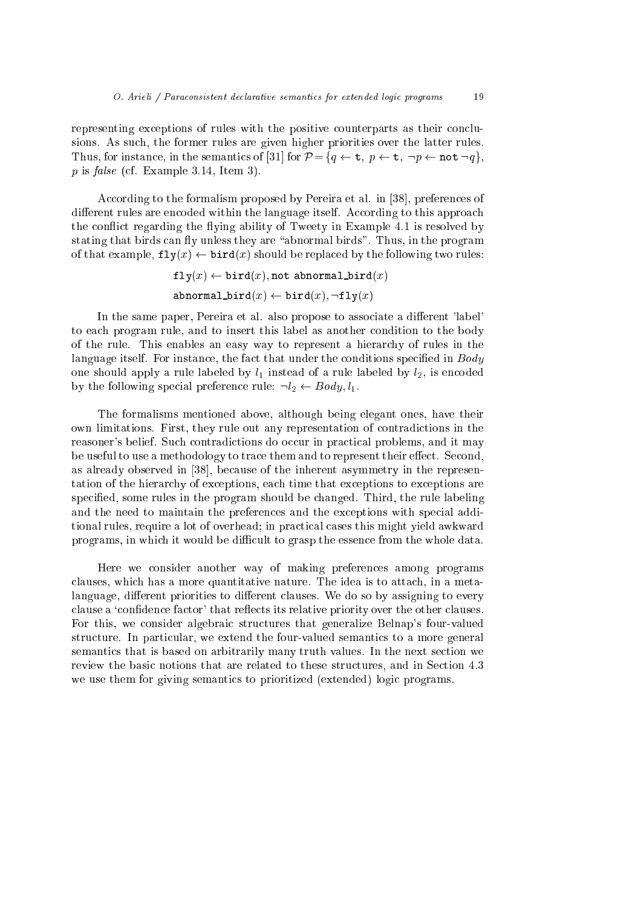representing exceptions of rules with the positive counterparts as their conclusions. As su
h, the former rules are given higher priorities over the latter rules. Thus, for instance, in the semantics of [31] for  $P = \{q \leftarrow t, p \leftarrow t, \neg p \leftarrow \text{not } \neg q\}$ , <sup>p</sup> is false (
f. Example 3.14, Item 3).

According to the formalism proposed by Pereira et al. in [38], preferences of different rules are encoded within the language itself. According to this approach the conflict regarding the flying ability of Tweety in Example 4.1 is resolved by stating that birds can fly unless they are "abnormal birds". Thus, in the program of that example,  $f(x) \leftarrow \text{bird}(x)$  should be replaced by the following two rules:

```
fly(x) \leftarrow \text{bird}(x), not abnormal bird(x)ability birds bird bird\alpha; is the set of \alpha in the set of \alpha is the set of \alpha
```
In the same paper, Pereira et al. also propose to associate a different 'label' to ea
h program rule, and to insert this label as another ondition to the body of the rule. This enables an easy way to represent a hierar
hy of rules in the language itself. For instance, the fact that under the conditions specified in Body one should apply a rule labeled by  $l_1$  instead of a rule labeled by  $l_2$ , is encoded by the following special preference rule:  $\neg l_2 \leftarrow Body, l_1$ .

The formalisms mentioned above, although being elegant ones, have their own limitations. First, they rule out any representation of ontradi
tions in the reasoner's belief. Such contradictions do occur in practical problems, and it may be useful to use a methodology to trace them and to represent their effect. Second, as already observed in  $[38]$ , because of the inherent asymmetry in the representation of the hierar
hy of ex
eptions, ea
h time that ex
eptions to ex
eptions are specified, some rules in the program should be changed. Third, the rule labeling and the need to maintain the preferences and the exceptions with special additional rules, require a lot of overhead; in practical cases this might yield awkward programs, in which it would be difficult to grasp the essence from the whole data.

Here we onsider another way of making preferen
es among programs clauses, which has a more quantitative nature. The idea is to attach, in a metalanguage, different priorities to different clauses. We do so by assigning to every clause a 'confidence factor' that reflects its relative priority over the other clauses. For this, we consider algebraic structures that generalize Belnap's four-valued structure. In particular, we extend the four-valued semantics to a more general semantics that is based on arbitrarily many truth values. In the next section we review the basic notions that are related to these structures, and in Section 4.3 we use them for giving semantics to prioritized (extended) logic programs.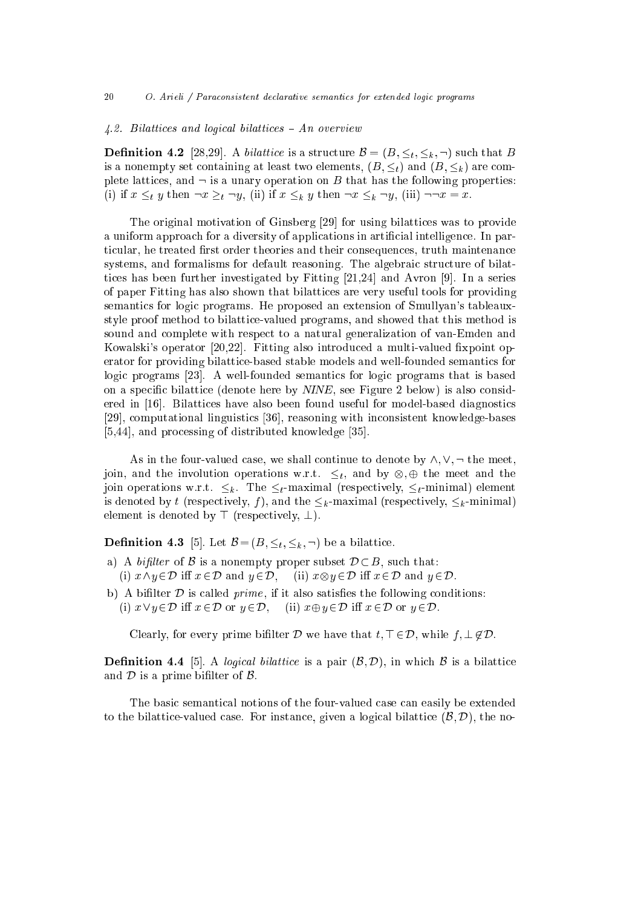#### $\Delta$ . 2. Bilattices and logical bilattices - An overview

**Definition 4.2** [28,29]. A *bilattice* is a structure  $\mathcal{B} = (B, \leq_t, \leq_k, \neg)$  such that B is a nonempty set containing at least two elements,  $(B, \leq_t)$  and  $(B, \leq_k)$  are complete lattices, and  $\neg$  is a unary operation on B that has the following properties: (i) if  $x \leq_t y$  then  $\neg x \geq_t \neg y$ , (ii) if  $x \leq_k y$  then  $\neg x \leq_k \neg y$ , (iii)  $\neg\neg x = x$ .

The original motivation of Ginsberg [29] for using bilattices was to provide a uniform approach for a diversity of applications in artificial intelligence. In particular, he treated first order theories and their consequences, truth maintenance systems, and formalisms for default reasoning. The algebraic structure of bilattices has been further investigated by Fitting  $[21,24]$  and Avron [9]. In a series of paper Fitting has also shown that bilatti
es are very useful tools for providing semantics for logic programs. He proposed an extension of Smullyan's tableauxstyle proof method to bilatti
e-valued programs, and showed that this method is sound and omplete with respe
t to a natural generalization of van-Emden and Kowalski's operator [20,22]. Fitting also introduced a multi-valued fixpoint operator for providing bilatti
e-based stable models and well-founded semanti
s for logic programs [23]. A well-founded semantics for logic programs that is based on a specific bilattice (denote here by *NINE*, see Figure 2 below) is also considered in  $[16]$ . Bilattices have also been found useful for model-based diagnostics [29], computational linguistics [36], reasoning with inconsistent knowledge-bases  $[5,44]$ , and processing of distributed knowledge  $[35]$ .

As in the four-valued case, we shall continue to denote by  $\wedge$ ,  $\vee$ ,  $\neg$  the meet, join, and the involution operations w.r.t. t, and by ; the meet and the join operations w.r.t.  $\leq_k$ . The  $\leq_t$ -maximal (respectively,  $\leq_t$ -minimal) element is denoted by t (respectively, f), and the  $\leq_k$ -maximal (respectively,  $\leq_k$ -minimal) element is denoted by  $\top$  (respectively,  $\bot$ ).

**Definition 4.3** [5]. Let  $\mathcal{B} = (B, \leq_t, \leq_k, \neg)$  be a bilattice.

- a) A *bifilter* of B is a nonempty proper subset  $D \subset B$ , such that: (ii)  $x^{2}$  is the sum of  $x^{2}$  in the sum of  $x^{2}$  is the sum of  $x^{2}$  in the sum of  $x^{2}$
- b) A bifilter  $D$  is called *prime*, if it also satisfies the following conditions: (i)  $x \vee y \in \mathcal{D}$  iff  $x \in \mathcal{D}$  or  $y \in \mathcal{D}$ , (ii)  $x \oplus y \in \mathcal{D}$  iff  $x \in \mathcal{D}$  or  $y \in \mathcal{D}$ .

Clearly, for every prime bifilter D we have that  $t, \top \in \mathcal{D}$ , while  $f, \bot \notin \mathcal{D}$ .

**Definition 4.4** [5]. A *logical bilattice* is a pair  $(\mathcal{B}, \mathcal{D})$ , in which  $\mathcal{B}$  is a bilattice and  $\mathcal D$  is a prime bifilter of  $\mathcal B$ .

The basic semantical notions of the four-valued case can easily be extended to the bilattice-valued case. For instance, given a logical bilattice  $(B, D)$ , the no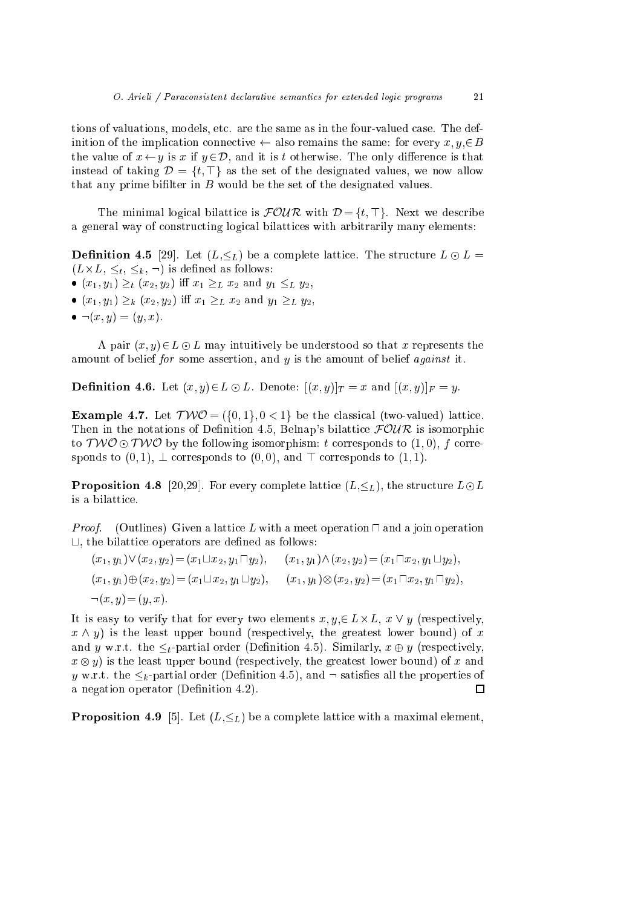tions of valuations, models, et
. are the same as in the four-valued ase. The definition of the implication connective  $\leftarrow$  also remains the same: for every  $x, y \in B$ the value of  $x \leftarrow y$  is x if  $y \in \mathcal{D}$ , and it is t otherwise. The only difference is that instead of taking  $\mathcal{D} = \{t, \top\}$  as the set of the designated values, we now allow that any prime bifilter in  $B$  would be the set of the designated values.

The minimal logical bilattice is  $\mathcal{F}OUR$  with  $\mathcal{D} = \{t, \top\}$ . Next we describe a general way of onstru
ting logi
al bilatti
es with arbitrarily many elements:

**Definition 4.5** [29]. Let  $(L, \leq_L)$  be a complete lattice. The structure  $L \odot L =$  $\lambda$  , and the contract of the contract  $\lambda$  is defined as follows:

- (x1; y1) t (x2; y2) <sup>i</sup> x1 L x2 and y1 L y2,
- $(17.71, 71)$  and  $(27.72, 72)$  in the state  $(27.72, 72)$  in the state  $(31.72, 72)$
- :(x; y) = (y; x).

A pair  $(x, y) \in L \odot L$  may intuitively be understood so that x represents the amount of belief for some assertion, and y is the amount of belief against it.

**Definition 4.6.** Let  $(x, y) \in L \odot L$ . Denote:  $[(x, y)]_T = x$  and  $[(x, y)]_F = y$ .

**Example 4.7.** Let  $TWO = (\{0, 1\}, 0 < 1\})$  be the classical (two-valued) lattice. Then in the notations of Definition 4.5, Belnap's bilattice  $FOUR$  is isomorphic to  $T W O \odot T W O$  by the following isomorphism: t corresponds to (1,0), f corresponds to  $(0, 1)$ ,  $\perp$  corresponds to  $(0, 0)$ , and  $\top$  corresponds to  $(1, 1)$ .

**Proposition 4.8** [20,29]. For every complete lattice  $(L, \leq_L)$ , the structure  $L \odot L$ is a bilatti
e.

 $Proof.$ (Outlines) Given a lattice L with a meet operation  $\sqcap$  and a join operation  $\sqcup$ , the bilattice operators are defined as follows:

$$
(x_1, y_1) \vee (x_2, y_2) = (x_1 \sqcup x_2, y_1 \sqcap y_2), \qquad (x_1, y_1) \wedge (x_2, y_2) = (x_1 \sqcap x_2, y_1 \sqcup y_2),
$$
  
\n
$$
(x_1, y_1) \oplus (x_2, y_2) = (x_1 \sqcup x_2, y_1 \sqcup y_2), \qquad (x_1, y_1) \otimes (x_2, y_2) = (x_1 \sqcap x_2, y_1 \sqcap y_2),
$$
  
\n
$$
\neg(x, y) = (y, x).
$$

It is easy to verify that for every two elements x; y;2 L-L, <sup>x</sup> \_ <sup>y</sup> (respe
tively,  $x \wedge y$  is the least upper bound (respectively, the greatest lower bound) of x and y w.r.t. the  $\lt_t$ -partial order (Definition 4.5). Similarly,  $x \oplus y$  (respectively, <sup>x</sup> y) is the least upper bound (respe
tively, the greatest lower bound) of <sup>x</sup> and y w.r.t. the  $\leq_k$ -partial order (Definition 4.5), and  $\neg$  satisfies all the properties of a negation operator (Definition 4.2).  $\Box$ 

**Proposition 4.9** [5]. Let  $(L, \leq_L)$  be a complete lattice with a maximal element,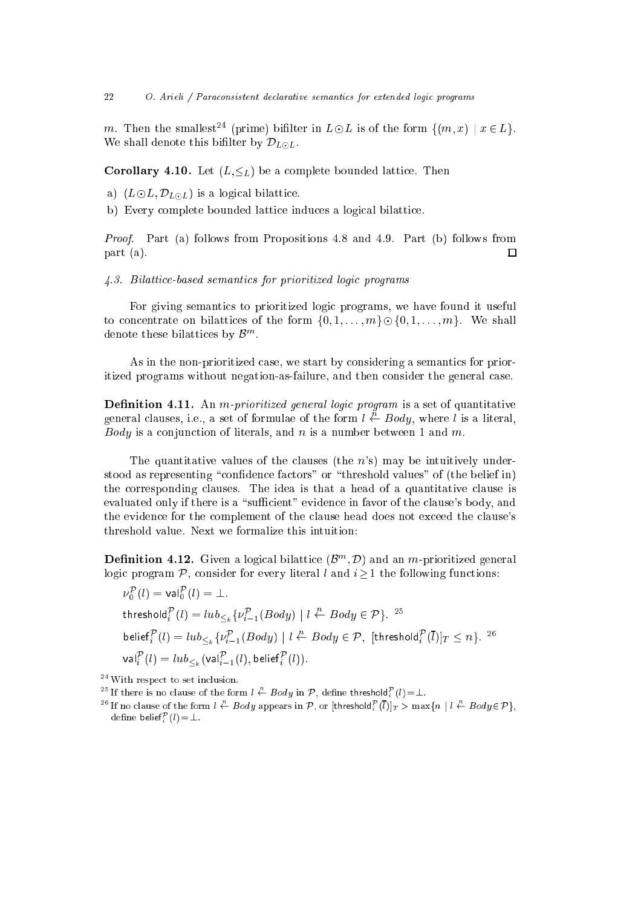m. Then the smallest<sup>24</sup> (prime) bifilter in  $L \odot L$  is of the form  $\{(m, x) \mid x \in L\}$ . We shall denote this bifilter by  $\mathcal{D}_{L\odot L}$ .

# **Corollary 4.10.** Let  $(L, \leq_L)$  be a complete bounded lattice. Then

- a)  $(L \odot L, \mathcal{D}_{L \odot L})$  is a logical bilattice.
- b) Every complete bounded lattice induces a logical bilattice.

Proof. Part (a) follows from Propositions 4.8 and 4.9. Part (b) follows from part (a).  $\Box$ 

# 4.3. Bilatti
e-based semanti
s for prioritized logi programs

For giving semantics to prioritized logic programs, we have found it useful to concentrate on bilattices of the form  $\{0, 1, \ldots, m\} \odot \{0, 1, \ldots, m\}$ . We shall denote these bilattices by  $\bm{\mathcal{D}}$  .

As in the non-prioritized case, we start by considering a semantics for prioritized programs without negation-as-failure, and then onsider the general ase.

**Definition 4.11.** An *m-prioritized general logic program* is a set of quantitative general clauses, i.e., a set of formulae of the form  $l \leftarrow Body$ , where l is a literal, Body is a conjunction of literals, and n is a number between 1 and m.

The quantitative values of the clauses (the  $n$ 's) may be intuitively understood as representing "confidence factors" or "threshold values" of (the belief in) the orresponding lauses. The idea is that a head of a quantitative lause is evaluated only if there is a "sufficient" evidence in favor of the clause's body, and the eviden
e for the omplement of the lause head does not ex
eed the lause's threshold value. Next we formalize this intuition:

**Definition 4.12.** Given a logical bilattice  $(\mathcal{D}^m, \mathcal{D})$  and an m-prioritized general logic program  $P$ , consider for every literal l and  $i>1$  the following functions:

$$
\nu_0^{\mathcal{P}}(l) = \text{val}_0^{\mathcal{P}}(l) = \bot.
$$
  
threshold <sup>$\mathcal{P}}_i(l) = lub_{\leq k} \{ \nu_{i-1}^{\mathcal{P}}(Body) \mid l \stackrel{n}{\leftarrow} Body \in \mathcal{P} \}.$ <sup>25</sup>  
belief <sup>$\mathcal{P}}_i(l) = lub_{\leq k} \{ \nu_{i-1}^{\mathcal{P}}(Body) \mid l \stackrel{n}{\leftarrow} Body \in \mathcal{P}, \text{ [threshold}_i^{\mathcal{P}}(\overline{l})]_T \leq n \}.$ <sup>26</sup>  
val <sup>$\mathcal{P}}_i(l) = lub_{\leq k} (\text{val}_{i-1}^{\mathcal{P}}(l), \text{belief}_i^{\mathcal{P}}(l)).$</sup></sup></sup> 

 $\sim$  With respect to set inclusion.

<sup>25</sup> If there is no clause of the form  $l \leftarrow Body$  in P, define threshold $_l^r(l) = \perp$ .

<sup>26</sup> If no clause of the form  $l \leftarrow Body$  appears in P, or [threshold $\int_l^{\infty} (l)|_T > \max\{n \mid l \leftarrow Body \in \mathcal{P}\}\$ , define belief  $\chi_l(t) = \bot$ .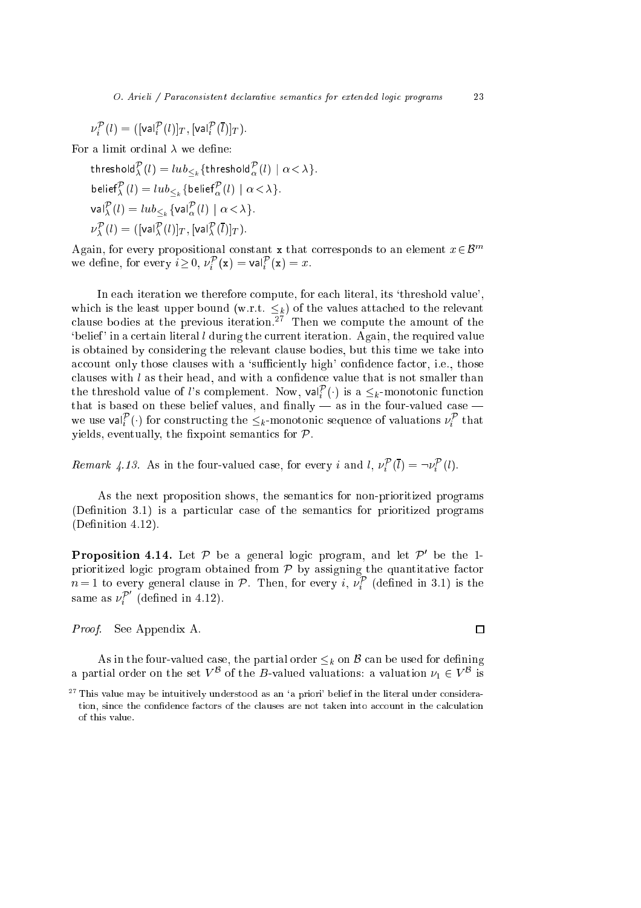$$
\nu_i^{\mathcal{P}}(l) = ([\mathsf{val}_i^{\mathcal{P}}(l)]_T, [\mathsf{val}_i^{\mathcal{P}}(\overline{l})]_T).
$$

For a limit ordinal  $\lambda$  we define:

$$
\begin{aligned}\n\text{threshold}_{\lambda}^{P}(l) &= lub_{\leq k} \{\text{threshold}_{\alpha}^{P}(l) \mid \alpha < \lambda\}. \\
\text{belief}_{\lambda}^{P}(l) &= lub_{\leq k} \{\text{belief}_{\alpha}^{P}(l) \mid \alpha < \lambda\}. \\
\text{val}_{\lambda}^{P}(l) &= lub_{\leq k} \{\text{val}_{\alpha}^{P}(l) \mid \alpha < \lambda\}. \\
\nu_{\lambda}^{P}(l) &= ([\text{val}_{\lambda}^{P}(l)]_{T}, [\text{val}_{\lambda}^{P}(\bar{l})]_{T}).\n\end{aligned}
$$

Again, for every propositional constant **x** that corresponds to an element  $x \in \mathcal{B}^m$ we define, for every  $i \geq 0, \, \nu_i$  (x)  $=$  val<sub>i</sub> (x)  $= x$ .

In each iteration we therefore compute, for each literal, its 'threshold value', which is the least upper bound (w.r.t.  $\equiv$   $\frac{1}{n}$  ) of the values attribution at the value of the values clause poqies at the previous iteration.<sup>27</sup> Then we compute the amount of the 'belief' in a certain literal l during the current iteration. Again, the required value is obtained by onsidering the relevant lause bodies, but this time we take into account only those clauses with a 'sufficiently high' confidence factor, i.e., those clauses with  $l$  as their head, and with a confidence value that is not smaller than the threshold value of *l*'s complement. Now,  $\text{val}_i^{\nu}(\cdot)$  is a  $\leq_k$ -monotonic function that is based on these belief values, and finally  $-$  as in the four-valued case  $$ we use val<sub>i</sub> ( $\cdot$ ) for constructing the  $\leq_k$ -monotonic sequence of valuations  $\nu_i$  that yields, eventually, the fixpoint semantics for  $P$ .

**Remark** 4.13. As in the four-valued case, for every i and i,  $\nu_i$  (i)  $= \neg \nu_i$  (i).

As the next proposition shows, the semantics for non-prioritized programs (Definition 3.1) is a particular case of the semantics for prioritized programs (Definition 4.12).

**Proposition 4.14.** Let  $P$  be a general logic program, and let  $P$  be the 1prioritized logic program obtained from  $P$  by assigning the quantitative factor  $n=1$  to every general clause in P. Then, for every i,  $\nu_i$  (defined in 3.1) is the same as  $\nu_i^{\ \nu}$  (defined in 4.12).

Proof. See Appendix A.

 $\Box$ 

as in the four-valued four-valued  $\mu$  and the partial  $\mu$  and  $\mu$  and  $\mu$  and  $\mu$  and  $\mu$  and  $\mu$ a partial order on the set  $V^-$  of the D-valued valuations: a valuation  $\nu_1 \in V^-$  is

 $2^{\prime}$  This value may be intuitively understood as an 'a priori' belief in the literal under consideration, since the confidence factors of the clauses are not taken into account in the calculation of this value.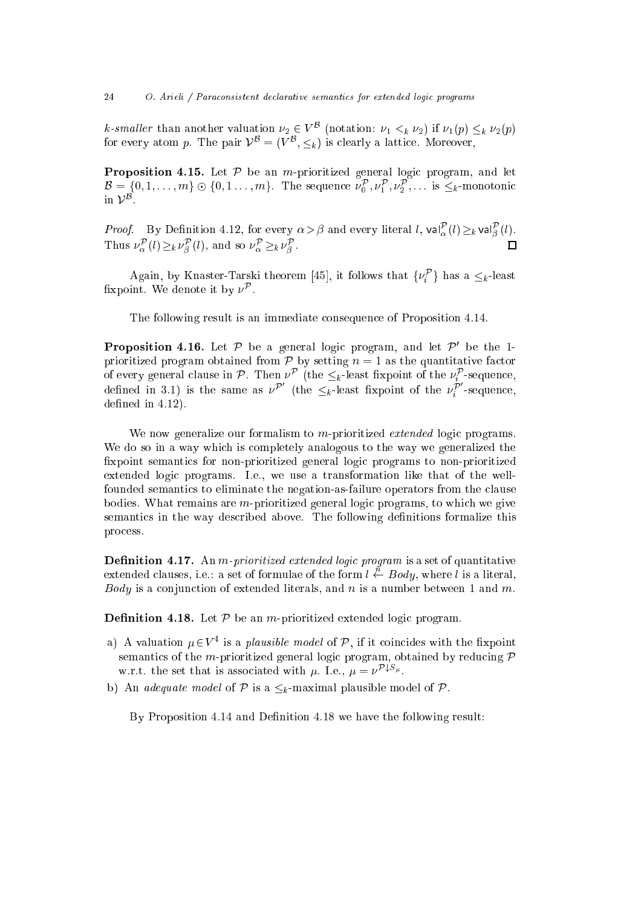*k*-smaler than another valuation  $\nu_2 \in V$  (notation:  $\nu_1 < k \nu_2$ ) if  $\nu_1(p) \leq k \nu_2(p)$ for every atom p. The pair  $V^* \equiv (V^*, \leq_k)$  is clearly a lattice. Moreover,

**Proposition 4.15.** Let  $\mathcal{P}$  be an *m*-prioritized general logic program, and let  $\mathcal{D} = \{0, 1, \ldots, m\} \cup \{0, 1, \ldots, m\}$ . The sequence  $\nu_0^*, \nu_1^*, \nu_2^*, \ldots$  is  $\leq_k$ -monotonic  $\mathop{\mathrm{III}}\nolimits$   $V$  .

*Proof.* By Definition 4.12, for every  $\alpha > \beta$  and every literal *t*, val<sub>a</sub> (*t*)  $\geq$ <sub>k</sub> val<sub>b</sub> (*t*). I mus  $\nu_{\alpha}(t) \geq k \nu_{\beta}(t)$ , and so  $\nu_{\alpha} \geq k \nu_{\beta}$ .

Again, by Knaster-Tarski theorem [45], it follows that  $\{\nu_i^*\}$  has a  $\leq_k$ -least  $\max \mathop{\mathrm{pdim}}\nolimits$  . We denote it by  $\nu^*$  .

The following result is an immediate onsequen
e of Proposition 4.14.

**Proposition 4.16.** Let  $P$  be a general logic program, and let  $P'$  be the 1prioritized program obtained from P by setting n = 1 as the program of the quantitative factor of the program of every general clause in P. Then  $\nu^*$  (the  $\leq_k$ -least fixpoint of the  $\nu_i^{\mathcal{P}'}$ -sequence, defined in 3.1) is the same as  $\nu^{\mathcal{P}'}$  (the  $\leq_k$ -least fixpoint of the  $\nu_i^{\mathcal{P}'}$ -sequence, defined in  $4.12$ ).

We now generalize our formalism to  $m$ -prioritized *extended* logic programs. We do so in a way which is completely analogous to the way we generalized the fixpoint semantics for non-prioritized general logic programs to non-prioritized extended logic programs. I.e., we use a transformation like that of the wellfounded semanti
s to eliminate the negation-as-failure operators from the lause bodies. What remains are  $m$ -prioritized general logic programs, to which we give semantics in the way described above. The following definitions formalize this pro
ess.

**Definition 4.17.** An *m-prioritized extended logic program* is a set of quantitative extended clauses, i.e.: a set of formulae of the form  $l \leftarrow Body$ , where l is a literal, Body is a conjunction of extended literals, and n is a number between 1 and m.

**Definition 4.18.** Let  $P$  be an *m*-prioritized extended logic program.

- a) A valuation  $\mu \in V^{\pm}$  is a *plausible model* of P, if it coinclues with the fixpoint semantics of the *m*-prioritized general logic program, obtained by reducing  $\mathcal{P}$ w.r.t. the set that is associated with  $\mu$ . i.e.,  $\mu = \nu^{\gamma}$  ...
- b) An *adequate model* of P is a  $\leq_k$ -maximal plausible model of P.

By Proposition 4.14 and Definition 4.18 we have the following result: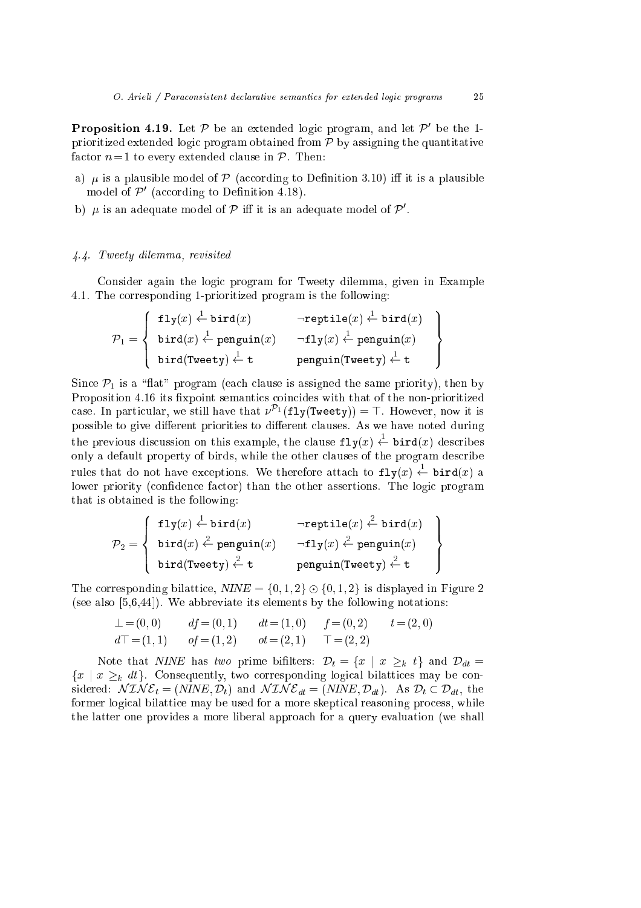**Proposition 4.19.** Let  $P$  be an extended logic program, and let  $P$  be the 1prioritized extended logic program obtained from  $P$  by assigning the quantitative factor  $n=1$  to every extended clause in  $\mathcal{P}$ . Then:

- a)  $\mu$  is a plausible model of  $\mathcal P$  (according to Definition 3.10) iff it is a plausible model of  $P$  (according to Definition 4.18).
- b)  $\mu$  is an adequate model of P in it is an adequate model of P.

### 4.4. Tweety dilemma, revisited

Consider again the logic program for Tweety dilemma, given in Example 4.1. The orresponding 1-prioritized program is the following:

$$
\mathcal{P}_1 = \left\{\begin{array}{cl}\mathtt{fly}(x) \overset{1}{\leftarrow} \mathtt{bird}(x) & \neg \mathtt{reptide}(x) \overset{1}{\leftarrow} \mathtt{bird}(x) \\ \mathtt{bird}(x) \overset{1}{\leftarrow} \mathtt{penguin}(x) & \neg \mathtt{fly}(x) \overset{1}{\leftarrow} \mathtt{penguin}(x) \\ \mathtt{bird}(\mathtt{Treety}) \overset{1}{\leftarrow} \mathtt{t} & \mathtt{penguin}(\mathtt{Treety}) \overset{1}{\leftarrow} \mathtt{t}\end{array}\right.\right\}
$$

Since  $P_1$  is a "flat" program (each clause is assigned the same priority), then by Proposition 4.16 its fixpoint semantics coincides with that of the non-prioritized case. In particular, we still have that  $\nu^+$  (TIV(Tweety))  $=$  1. However, now it is possible to give different priorities to different clauses. As we have noted during the previous discussion on this example, the clause  $fly(x) \leftarrow \text{bird}(x)$  describes only a default property of birds, while the other clauses of the program describe rules that do not have exceptions. We therefore attach to  $f(x) \leftarrow \text{bird}(x)$  a lower priority (confidence factor) than the other assertions. The logic program that is obtained is the following:

$$
\mathcal{P}_2 = \left\{ \begin{array}{ll} \texttt{fly}(x) \overset{1}{\leftarrow} \texttt{bird}(x) & \neg \texttt{reptide}(x) \overset{2}{\leftarrow} \texttt{bird}(x) \\ \texttt{bird}(x) \overset{2}{\leftarrow} \texttt{penguin}(x) & \neg \texttt{fly}(x) \overset{2}{\leftarrow} \texttt{penguin}(x) \\ \texttt{bird(Tweety)} \overset{2}{\leftarrow} \texttt{t} & \texttt{penguin(Tweety)} \overset{2}{\leftarrow} \texttt{t} \end{array} \right. \right.
$$

The corresponding bilattice,  $NINE = \{0, 1, 2\} \odot \{0, 1, 2\}$  is displayed in Figure 2 (see also  $[5,6,44]$ ). We abbreviate its elements by the following notations:

$$
\bot = (0,0) \qquad df = (0,1) \qquad dt = (1,0) \qquad f = (0,2) \qquad t = (2,0) \nd\top = (1,1) \qquad of = (1,2) \qquad ot = (2,1) \qquad \top = (2,2)
$$

Note that *NINE* has two prime bifilters:  $\mathcal{D}_t = \{x \mid x \geq_k t\}$  and  $\mathcal{D}_{dt} =$  $\{x \mid x \geq_k dt\}.$  Consequently, two corresponding logical bilattices may be considered:  $NTNE_t = (NINE, \mathcal{D}_t)$  and  $NTNE_{dt} = (NINE, \mathcal{D}_{dt})$ . As  $\mathcal{D}_t \subset \mathcal{D}_{dt}$ , the former logical bilattice may be used for a more skeptical reasoning process, while the latter one provides a more liberal approa
h for a query evaluation (we shall

99. Only 1.  $\perp$ 

 $\perp$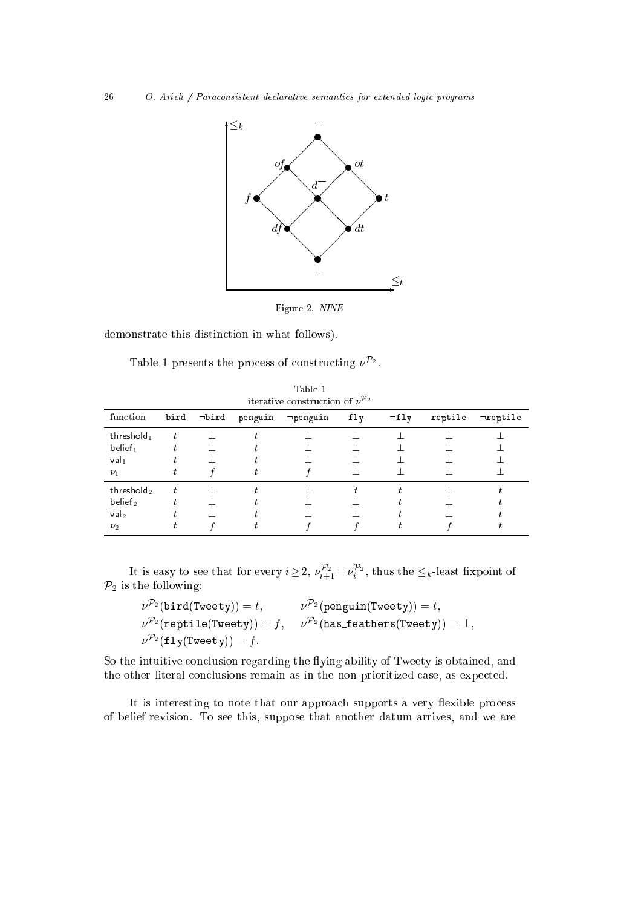

Figure 2. NINE

demonstrate this distin
tion in what follows).

Table 1 presents the process of constructing  $\nu^2$ .

Table 1 iterative construction of  $\nu^{\mathcal{P}_2}$ 

| function               | bird | $\neg$ bird | penguin | $\neg$ penguin | fly | $\neg$ fly | reptile | $\neg$ reptile |
|------------------------|------|-------------|---------|----------------|-----|------------|---------|----------------|
| threshold $_1$         | t    |             |         |                |     |            |         |                |
| $b$ elief <sub>1</sub> | ŧ.   |             |         |                |     |            |         |                |
| $val_1$                |      |             |         |                |     |            |         |                |
| $\nu_1$                | t    |             |         |                |     |            |         |                |
| threshold $_2$         | ŧ    |             |         |                |     |            |         |                |
| belief <sub>2</sub>    | t    |             |         |                |     |            |         |                |
| val <sub>2</sub>       |      |             |         |                |     |            |         |                |
| $\nu_2$                |      |             |         |                |     | ı          |         |                |

It is easy to see that for every  $i \geq 2$ ,  $\nu_{i+1}^* = \nu_i^*$  , thus the  $\leq_k$ -least fixpoint of P2 is the following:

$$
\nu^{\mathcal{P}_2}(\texttt{bird}(\texttt{Tweety})) = t, \qquad \nu^{\mathcal{P}_2}(\texttt{penguin}(\texttt{Tweety})) = t, \\ \nu^{\mathcal{P}_2}(\texttt{reptide}(\texttt{Tweety})) = f, \quad \nu^{\mathcal{P}_2}(\texttt{has\_features}(\texttt{Tweety})) = \bot, \\ \nu^{\mathcal{P}_2}(\texttt{fly}(\texttt{Tweety})) = f.
$$

So the intuitive conclusion regarding the flying ability of Tweety is obtained, and the other literal conclusions remain as in the non-prioritized case, as expected.

It is interesting to note that our approach supports a very flexible process of belief revision. To see this, suppose that another datum arrives, and we are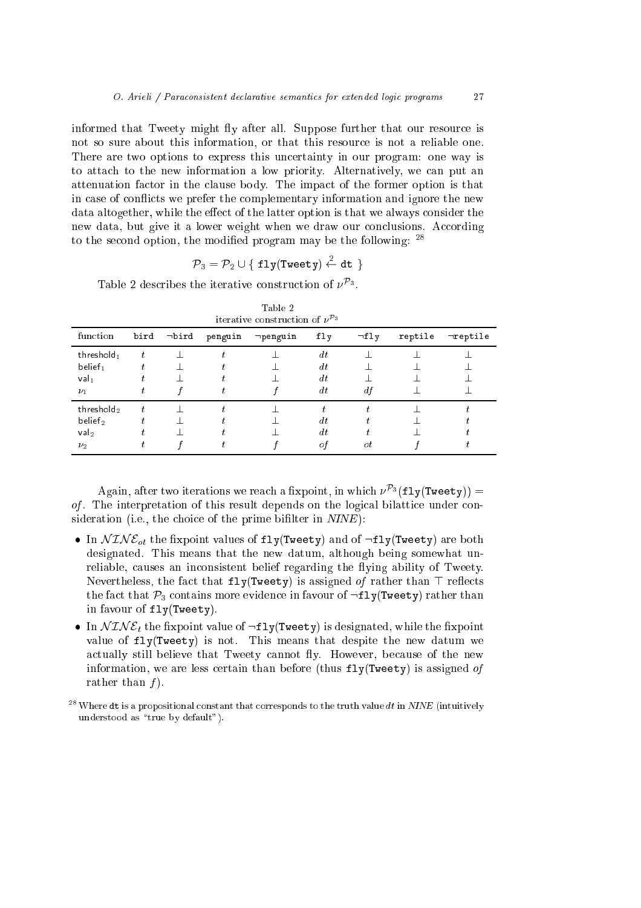informed that Tweety might fly after all. Suppose further that our resource is not so sure about this information, or that this resour
e is not a reliable one. There are two options to express this un
ertainty in our program: one way is to attach to the new information a low priority. Alternatively, we can put an attenuation fa
tor in the lause body. The impa
t of the former option is that in case of conflicts we prefer the complementary information and ignore the new data altogether, while the effect of the latter option is that we always consider the new data, but give it a lower weight when we draw our conclusions. According to the second option, the modified program may be the following:  $28$ 

$$
\mathcal{P}_3 = \mathcal{P}_2 \cup \{ \text{ fly(Tweety)} \overset{2}{\leftarrow} \text{dt} \}
$$

Table 2 describes the iterative construction of  $\nu^{\circ}$ .

| iterative construction of $\nu^{rs}$ |      |             |         |                |            |            |         |                |  |  |  |
|--------------------------------------|------|-------------|---------|----------------|------------|------------|---------|----------------|--|--|--|
| function                             | bird | $\neg$ bird | penguin | $\neg$ penguin | fly        | $\neg$ fly | reptile | $\neg$ reptile |  |  |  |
| threshold $_1$                       | t    |             |         |                | dt         |            |         |                |  |  |  |
| belief $_1$                          |      |             |         |                | dt         |            |         |                |  |  |  |
| $val_1$                              |      |             |         |                | dt         |            |         |                |  |  |  |
| $\nu_1$                              |      |             |         |                | dt         | df         |         |                |  |  |  |
| threshold $_2$                       | t    |             |         |                |            |            |         |                |  |  |  |
| belief <sub>2</sub>                  |      |             |         |                | dt         |            |         |                |  |  |  |
| val <sub>2</sub>                     |      |             |         |                | dt         |            |         |                |  |  |  |
| $\nu_2$                              |      |             |         |                | $\sigma f$ | ot         |         |                |  |  |  |

Table 2

Again, after two iterations we reach a fixpoint, in which  $\nu^{\gamma}$  (fly(Tweety))  $=$ of. The interpretation of this result depends on the logical bilattice under consideration (i.e., the choice of the prime bifilter in NINE):

- In N IN EOT TO LATE THE POST OF FLOW THE THE STATE OF INTERFERING THE STATE OF STATE AND OF THE STATE OF THE B designated. This means that the new datum, although being somewhat unreliable, causes an inconsistent belief regarding the flying ability of Tweety. Nevertheless, the fact that  $fly(Tweety)$  is assigned of rather than  $\top$  reflects the fact that  $\mathcal{P}_3$  contains more evidence in favour of  $\neg \texttt{fly}(\texttt{Treety})$  rather than in favour of fly(Tweety).
- In the state of  $\mu$  is the spontaneous contract of  $\mu$  , while the spontaneous contract is designed the space value of fly(Tweety) is not. This means that despite the new datum we actually still believe that Tweety cannot fly. However, because of the new information, we are less certain than before (thus  $\text{fly(Tweetv)}$ ) is assigned of rather than  $f$ ).

 $^{-1}$  W here dt is a propositional constant that corresponds to the truth value  $at$  in NINE (intuitively understood as "true by default").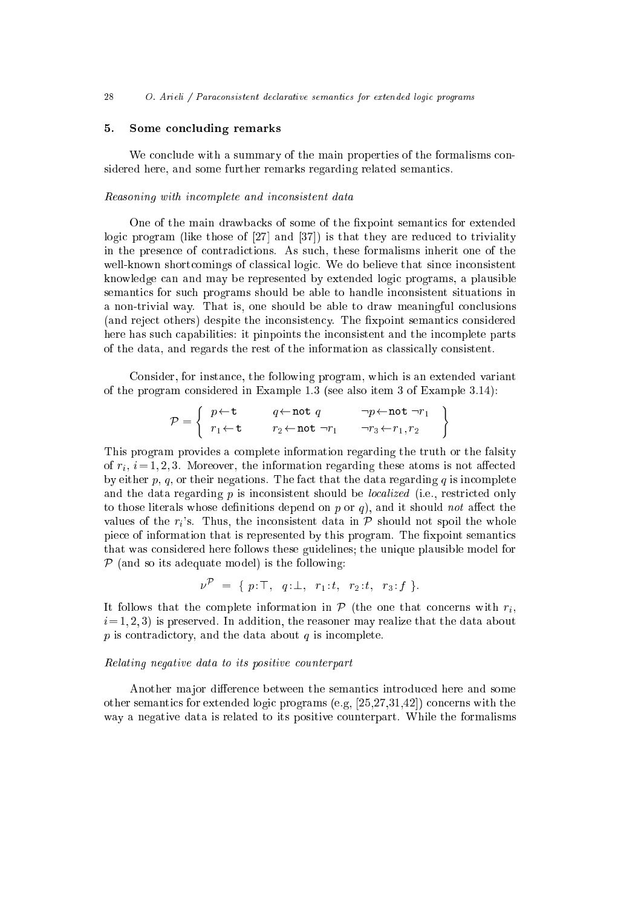#### 5. Some on
luding remarks

We conclude with a summary of the main properties of the formalisms considered here, and some further remarks regarding related semantics.

# Reasoning with incomplete and inconsistent data

One of the main drawbacks of some of the fixpoint semantics for extended logic program (like those of  $[27]$  and  $[37]$ ) is that they are reduced to triviality in the presen
e of ontradi
tions. As su
h, these formalisms inherit one of the well-known shortcomings of classical logic. We do believe that since inconsistent knowledge can and may be represented by extended logic programs, a plausible semantics for such programs should be able to handle inconsistent situations in a non-trivial way. That is, one should be able to draw meaningful conclusions (and reject others) despite the inconsistency. The fixpoint semantics considered here has such capabilities: it pinpoints the inconsistent and the incomplete parts of the data, and regards the rest of the information as lassi
ally onsistent.

Consider, for instance, the following program, which is an extended variant of the program onsidered in Example 1.3 (see also item 3 of Example 3.14):

)

$$
\mathcal{P} = \begin{cases} p \leftarrow t & q \leftarrow \texttt{not } q & \neg p \leftarrow \texttt{not } \neg r_1 \\ r_1 \leftarrow t & r_2 \leftarrow \texttt{not } \neg r_1 & \neg r_3 \leftarrow r_1, r_2 \end{cases}
$$

This program provides a omplete information regarding the truth or the falsity of  $r_i$ ,  $i = 1, 2, 3$ . Moreover, the information regarding these atoms is not affected by either p, q, or their negations. The fact that the data regarding q is incomplete and the data regarding  $p$  is inconsistent should be *localized* (i.e., restricted only to those literals whose definitions depend on p or q), and it should not affect the values of the  $r_i$ 's. Thus, the inconsistent data in  $\mathcal P$  should not spoil the whole piece of information that is represented by this program. The fixpoint semantics that was onsidered here follows these guidelines; the unique plausible model for P (and so its adequate model) is the following:

$$
\nu^{\mathcal{P}} = \{ p: \top, q: \bot, r_1: t, r_2: t, r_3: f \}.
$$

It follows that the complete information in  $P$  (the one that concerns with  $r_i$ ,  $i= 1, 2, 3$  is preserved. In addition, the reasoner may realize that the data about  $p$  is contradictory, and the data about  $q$  is incomplete.

#### Relating negative data to its positive counterpart

Another major difference between the semantics introduced here and some other semantics for extended logic programs (e.g,  $[25,27,31,42]$ ) concerns with the way a negative data is related to its positive ounterpart. While the formalisms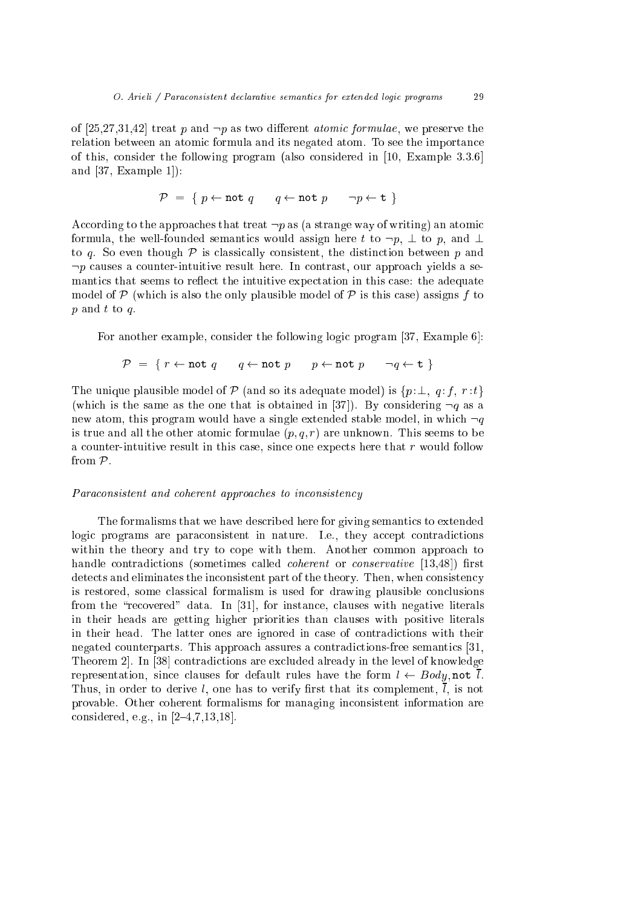of [25,27,31,42] treat p and  $\neg p$  as two different *atomic formulae*, we preserve the relation between an atomi formula and its negated atom. To see the importan
e of this, consider the following program (also considered in  $[10, \text{Example } 3.3.6]$ ) and  $[37, \mathrm{Example} 1]$ :

$$
\mathcal{P} = \{ p \leftarrow \text{not } q \quad q \leftarrow \text{not } p \quad \neg p \leftarrow \text{ } \text{ } \text{ } \}
$$

According to the approaches that treat  $\neg p$  as (a strange way of writing) an atomic formula, the well-founded semantics would assign here t to  $\neg p$ ,  $\perp$  to p, and  $\perp$ to q. So even though  $P$  is classically consistent, the distinction between  $p$  and  $\neg p$  causes a counter-intuitive result here. In contrast, our approach yields a semantics that seems to reflect the intuitive expectation in this case: the adequate model of  $P$  (which is also the only plausible model of  $P$  is this case) assigns f to  $p$  and  $t$  to  $q$ .

For another example, consider the following logic program [37, Example 6]:

$$
\mathcal{P} = \{ r \leftarrow \texttt{not } q \quad q \leftarrow \texttt{not } p \quad p \leftarrow \texttt{not } p \quad \neg q \leftarrow \texttt{t } \}
$$

The unique plausible model of  $P$  (and so its adequate model) is  $\{p : \bot, q : f, r : t\}$ (which is the same as the one that is obtained in [37]). By considering  $\neg q$  as a new atom, this program would have a single extended stable model, in which  $\neg q$ is true and all the other atomic formulae  $(p, q, r)$  are unknown. This seems to be a ounter-intuitive result in this ase, sin
e one expe
ts here that <sup>r</sup> would follow from P.

#### Paraconsistent and coherent approaches to inconsistency

The formalisms that we have des
ribed here for giving semanti
s to extended logic programs are paraconsistent in nature. I.e., they accept contradictions within the theory and try to cope with them. Another common approach to handle contradictions (sometimes called *coherent* or *conservative* [13,48]) first detects and eliminates the inconsistent part of the theory. Then, when consistency is restored, some lassi
al formalism is used for drawing plausible on
lusions from the "recovered" data. In  $[31]$ , for instance, clauses with negative literals in their heads are getting higher priorities than lauses with positive literals in their head. The latter ones are ignored in case of contradictions with their negated ounterparts. This approa
h assures a ontradi
tions-free semanti
s [31, Theorem 2. In [38] contradictions are excluded already in the level of knowledge representation, since clauses for default rules have the form  $l \leftarrow Body, \text{not } \overline{l}$ . Thus, in order to derive l, one has to verify first that its complement,  $\overline{l}$ , is not provable. Other oherent formalisms for managing in
onsistent information are considered, e.g., in  $[2-4,7,13,18]$ .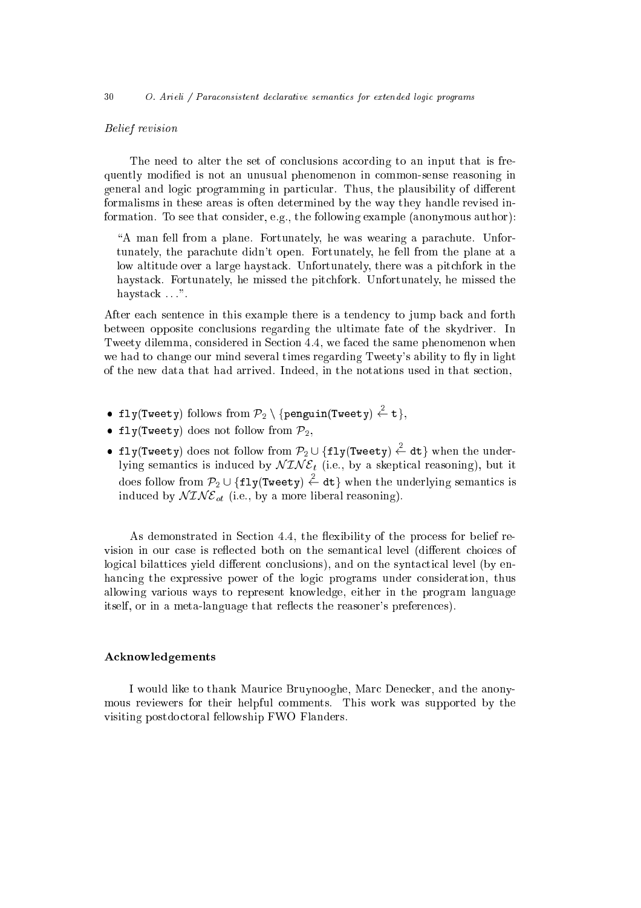#### 30 O. Arieli / Paraconsistent declarative semantics for extended logic programs

#### Belief revision

The need to alter the set of conclusions according to an input that is frequently modied is not an unusual phenomenon in ommon-sense reasoning in general and logic programming in particular. Thus, the plausibility of different formalisms in these areas is often determined by the way they handle revised information. To see that onsider, e.g., the following example (anonymous author):

"A man fell from a plane. Fortunately, he was wearing a parachute. Unfortunately, the para
hute didn't open. Fortunately, he fell from the plane at a low altitude over a large haystack. Unfortunately, there was a pitchfork in the haystack. Fortunately, he missed the pitchfork. Unfortunately, he missed the haystack ...".

After each sentence in this example there is a tendency to jump back and forth between opposite on
lusions regarding the ultimate fate of the skydriver. In Tweety dilemma, considered in Section 4.4, we faced the same phenomenon when we had to change our mind several times regarding Tweety's ability to fly in light of the new data that had arrived. Indeed, in the notations used in that se
tion,

- $\bullet$  fly(Tweety) follows from  $\mathcal{P}_2 \setminus \{ \texttt{penguin}(\texttt{Tweety}) \leftarrow \texttt{t} \},$
- fly(Tweety) does not follow from P2,
- fly(Tweety) does not follow from  $\mathcal{P}_2 \cup \{\texttt{fly(Tweety)} \leftarrow \texttt{dt}\}$  when the underlying semantics is induced by  $\mathcal{NINE}_t$  (i.e., by a skeptical reasoning), but it does follow from  $\mathcal{P}_2 \cup \{\mathtt{fly}(\mathtt{Tweety}) \leftarrow \mathtt{dt}\}$  when the underlying semantics is induced by  $\mathcal{NINE}_{ot}$  (i.e., by a more liberal reasoning).

As demonstrated in Section 4.4, the flexibility of the process for belief revision in our case is reflected both on the semantical level (different choices of logical bilattices yield different conclusions), and on the syntactical level (by enhancing the expressive power of the logic programs under consideration, thus allowing various ways to represent knowledge, either in the program language itself, or in a meta-language that reflects the reasoner's preferences).

# **Acknowledgements**

I would like to thank Mauri
e Bruynooghe, Mar Dene
ker, and the anonymous reviewers for their helpful omments. This work was supported by the visiting postdo
toral fellowship FWO Flanders.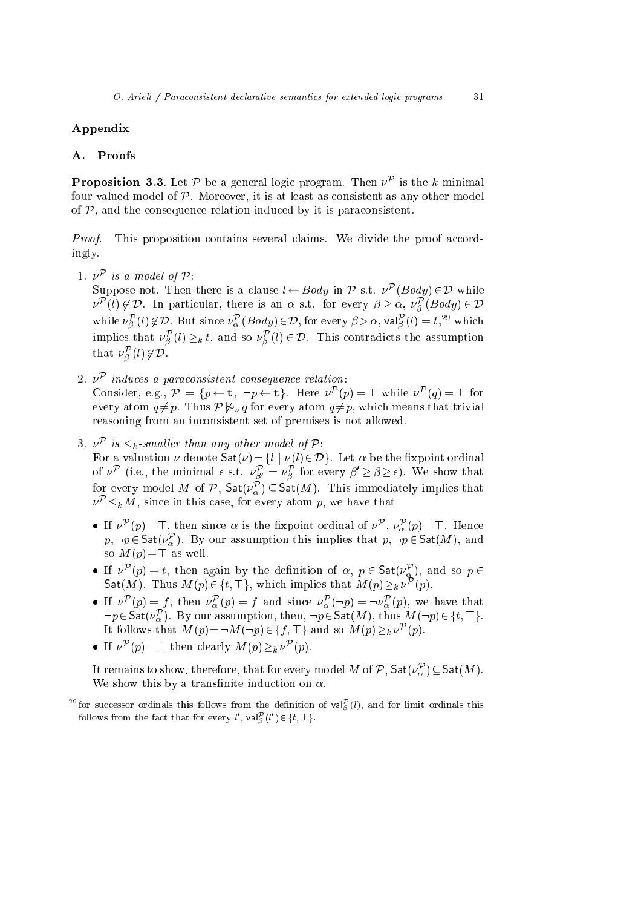# Appendix

# A. Proofs

**Proposition 3.3**. Let P be a general logic program. Then  $\nu^+$  is the  $\kappa$ -minimal four-valued model of  $P$ . Moreover, it is at least as consistent as any other model of  $P$ , and the consequence relation induced by it is paraconsistent.

*Proof.* This proposition contains several claims. We divide the proof accordingly.

1.  $\nu$  is a model of  $\nu$ :

Suppose not. Then there is a clause  $l \leftarrow B \textit{o}ay$  in P s.t. P ( $B \textit{o}ay \in D$  while  $\nu^{\gamma}$  (*i*)  $\notin$   $\nu$ . In particular, there is an  $\alpha$  s.t. for every  $\rho \geq \alpha$ ,  $\nu_{\beta}$  (*Body*)  $\in \nu$ while  $\mathcal{V}_{\beta}(t) \notin \mathcal{D}$ . But since  $\mathcal{V}_{\alpha}$  (Body) $\in \mathcal{D}$ , for every  $\beta > \alpha$ , val $\beta(t) = t$ , which implies that  $\nu_{\beta}(t) \geq k t$ , and so  $\nu_{\beta}(t) \in D$ . This contradicts the assumption that  $\nu_{\beta}$  (*t*)  $\nu$   $\nu$ .

- z. v unauces a paraconsistent consequence retation: Consider, e.g.,  $P = \{p \leftarrow \tau, \neg p \leftarrow \tau\}$ . Here  $P^+(p) = \bot$  while  $P^+(q) = \bot$  for every atom  $q \neq p$ . Thus  $\mathcal{P} \not\vdash_{\nu} q$  for every atom  $q \neq p$ , which means that trivial reasoning from an in
onsistent set of premises is not allowed.
- $\mathcal{S}$ .  $\nu$  is  $\leq_k$ -smaller than any other model of P: For a valuation of the state  $\mathcal{L}$  , and  $\mathcal{L}$  (i.e. i.e.  $\mathcal{L}$  , and the the the theoretical ordinal ordinal  $\mathcal{L}$ of  $\nu^{\prime}$  (i.e., the minimal  $\epsilon$  s.t.  $\nu_{\beta'} = \nu_{\beta}$  for every  $\rho \geq \rho \geq \epsilon$ ). We show that for every model *M* of P,  $\text{Sat}(\nu_{\alpha}) \subseteq \text{Sat}(M)$ . This immediately implies that  $\nu^p \leq_k M$ , since in this case, for every atom p, we have that
	- If  $\nu^{\prime}$  (p)  $=$  1, then since  $\alpha$  is the fixpoint ordinal of  $\nu^{\prime}$ ,  $\nu_{\alpha}$  $\alpha \vee r$  , we have  $\alpha$  $p, \neg p \in \mathsf{Sat}(\nu_\alpha)$ . By our assumption this implies that  $p, \neg p \in \mathsf{Sat}(M)$ , and so  $M(p) = \top$  as well.
	- If  $\nu^{\prime}$  ( $p$ )  $\equiv$   $i$ , then again by the definition of  $\alpha, p \in$  Sat( $\nu_{\alpha}^{\prime}$ ), and so  $p \in$ Sat(M). Thus  $M(p) \in \{i, +\}$ , which implies that  $M(p) \geq k \nu$  (p).
	- If  $\nu^{\prime}$  (p)  $=$  f, then  $\nu_{\alpha}^{\prime}$  (p)  $=$  f and since  $\nu_{\alpha}^{\prime}$  ( $\nu$ p)  $=$   $\nu_{\alpha}^{\prime}$  (p), we have that  $\neg p \in$  Sat( $\nu_{\alpha}$ ). By our assumption, then,  $\neg p \in$  Sat(M), thus M( $\neg p \in \{i, +\}$ . It follows that  $M(p) = \neg M(\neg p) \in \{f, \bot\}$  and so  $M(p) \geq_k \nu^{\perp}(p)$ .
	- If  $\nu^{\scriptscriptstyle\vee}$  (p)  $\equiv$   $\pm$  then crearly  $M(p) \geq k \nu^{\scriptscriptstyle\vee}$  (p).

It remains to show, therefore, that for every model M of P, Sat( $\nu_{\alpha}^{\prime}$ )  $\subseteq$  Sat(M). We show this by a transfinite induction on  $\alpha$ .

 $\tilde{\ }$  for successor ordinals this follows from the definition of valget), and for limit ordinals this follows from the fact that for every  $\iota$  ,  $\mathsf{val}_\beta(\iota\,)\in\{t,\bot\}$ .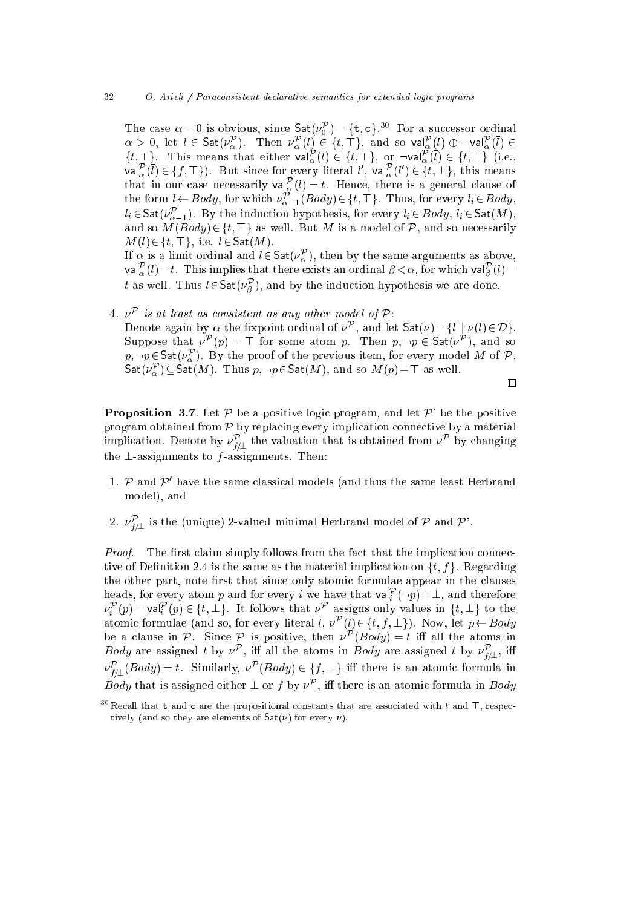The case  $\alpha = 0$  is obvious, since  $\text{Sat}(\nu_0) = {\tau, \tau}$ ,  $\tau$ , For a successor ordinal  $\alpha > 0$ , let  $l \in$  Sat $(\nu_{\alpha}')$ . Then  $\nu_{\alpha}'(l) \in \{l, +\}$ , and so val<sub>a</sub> $(l) \oplus \neg$ val<sub>a</sub> $(l) \in$  $\{t, +\}$ . This means that either val<sub>a</sub> $\{t\} \in \{t, +\}$ , or  $\neg \text{Val}_\alpha(t) \in \{t, +\}$  (i.e., val<sub>a</sub>  $(i) \in \{j, +\}$ ). But since for every literal  $i$ , val<sub>a</sub>  $(i') \in \{t, \perp\}$ , this means that in our case necessarily val<sub> $\alpha$ </sub> (*l*)  $=t$ . Hence, there is a general clause of the form  $l \leftarrow B o a y$ , for which  $\nu_{\alpha-1}(B o a y) \in \{l, l\}$ . Thus, for every  $l_i \in B o a y$ ,  $i_i \in \text{Sat}(\nu_{\alpha-1}).$  By the induction hypothesis, for every  $i_i \in Douy, i_i \in \text{Sat}(M),$ and so  $M(Body) \in \{t, \top\}$  as well. But M is a model of P, and so necessarily  $M(l) \in \{t, \top\}, \text{ i.e. } l \in \textsf{Sat}(M).$ 

If  $\alpha$  is a limit ordinal and  $\iota \in$  Sat( $\nu_{\alpha}^{\vee}$  ), then by the same arguments as above, val $\alpha_l$  ( $l$ ) = t. This implies that there exists an ordinal  $\rho < \alpha$ , for which valg ( $l$ ) = t as well. Thus  $t \in$  Sat( $\nu_{\beta}$ ), and by the induction hypothesis we are done.

4. <sup>P</sup> is at least as onsistent as any other model of P: Denote again by  $\alpha$  the fixpoint ordinal of  $\nu^{\mathcal{P}}$ , and let  $\mathsf{Sat}(\nu) = \{l \mid \nu(l) \in \mathcal{D}\}.$ , and it is stated to part of the state of  $\alpha$ Suppose that  $P^+(p) = \perp$  for some atom p. Then  $p, \neg p \in \mathsf{Sat}(P^+)$ , and so  $p, \neg p \in \mathsf{sat}(\nu_\alpha)$ . By the proof of the previous field, for every model M of P, Sat( $\nu_{\alpha}$ )  $\subseteq$  Sat(*M*). Thus  $p, \neg p \in$  Sat(*M*), and so *M*( $p$ ) =  $\vdash$  as well.

 $\Box$ 

- **Proposition 3.7.** Let  $P$  be a positive logic program, and let  $P'$  be the positive program obtained from  $P$  by replacing every implication connective by a material implication. Denote by  $\nu_{f/}$  the valuation that is obtained from  $\nu^*$  by changing the  $\perp$ -assignments to f-assignments. Then:
- 1.  $\nu$  and  $\nu$  have the same classical models (and thus the same least Herbrand model), and
- 2.  $\nu_{f/\perp}^{\nu}$  is the (unique) 2-valued minimal Herbrand model of  ${\cal P}$  and  ${\cal P}'$ .

*Proof.* The first claim simply follows from the fact that the implication connective of Definition 2.4 is the same as the material implication on  $\{t, f\}$ . Regarding the other part, note rst that sin
e only atomi formulae appear in the lauses heads, for every atom p and for every  $i$  we have that val<sub>i</sub>  $(\neg p)=\bot,$  and therefore  $\nu_i^+(p) = \text{val}_i^+(p) \in \{t, \perp\}$ . It follows that  $\nu^+$  assigns only values in  $\{t, \perp\}$  to the atomic formulae (and so, for every literal  $l, \; l' \;$   $(l) \in \{l, \; l, \perp\}$ ). Now, let  $p \leftarrow \textit{Doay}$ be a clause in P. Since P is positive, then  $\nu^+($   $\Delta \omega y) = t$  in all the atoms in *Body* are assigned t by  $\nu^*$ , in all the atoms in *Body* are assigned t by  $\nu^*_{f/\downarrow}$ , in  $\mathcal{P}_{f/\perp}($  body) = t. Similarly,  $\nu^{\prime}$  (body)  $\in \{J, \perp\}$  in there is an atomic formula in *Body* that is assigned either  $\perp$  or f by  $\nu$ , in there is an atomic formula in *Body* 

 $\, \tilde{}\,$  Recall that t and c are the propositional constants that are associated with  $t$  and  $\,$  , respectively (and so they are elements of  $Sat(\nu)$  for every  $\nu$ ).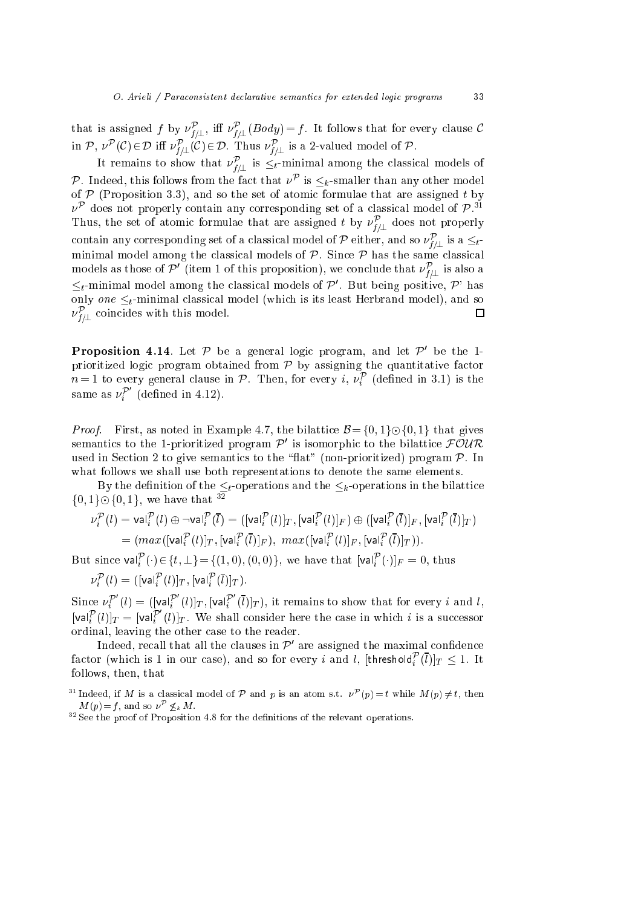that is assigned f by  $\nu_{f/\vert}$ , in  $\nu_{f/\vert}$  (*Boay*) = f. It follows that for every clause C in P,  $\nu^{\prime}$  (C)  $\in$  D in  $\nu_{f/\perp}^{\prime}$  (C)  $\in$  D. Thus  $\nu_{f/\perp}^{\prime}$  is a 2-valued model of P.

It remains to snow that  $\nu_{f/\perp}^*$  is  $\leq_t$ -minimal among the classical models of P. Indeed, this follows from the fact that  $\nu^+$  is  $\leq_k$ -smaller than any other model of  $P$  (Proposition 3.3), and so the set of atomic formulae that are assigned t by  $\nu^{\gamma}$  abes not properly contain any corresponding set of a classical model of  $P.$   $\bar{\gamma}$ Thus, the set of atomic formulae that are assigned t by  $\mathcal{V}_{f/\perp}^*$  does not properly contain any corresponding set of a classical model of  $\digamma$  either, and so  $\nu^{\epsilon}_{f/\parallel}$  is a  $\leq_t$ minimal model among the classical models of  $P$ . Since  $P$  has the same classical models as those of P $\,$  (item 1 of this proposition), we conclude that  $\nu_{f/\!\perp}$  is also a  $\leq_t$ -minimal model among the classical models of P'. But being positive, P' has only one  $\leq_t$ -minimal classical model (which is its least Herbrand model), and so  $\Box$  $\nu_{f/\perp}$  coincides with this model.

**Proposition 4.14.** Let  $P$  be a general logic program, and let  $P$  be the 1prioritized logic program obtained from  $P$  by assigning the quantitative factor  $n=1$  to every general clause in P. Then, for every i,  $\nu_i$  (defined in 3.1) is the same as  $\nu_i^P$  (defined in 4.12).

*Proof.* First, as noted in Example 4.7, the bilattice  $\mathcal{B} = \{0, 1\} \odot \{0, 1\}$  that gives semantics to the 1-prioritized program  $P$  is isomorphic to the bilattice  $\mathcal{F}\mathcal{O}\mathcal{U}\mathcal{K}$ used in Section 2 to give semantics to the "flat" (non-prioritized) program  $P$ . In what follows we shall use both representations to denote the same elements.

By the definition of the  $\leq_t$ -operations and the  $\leq_k$ -operations in the bilattice  $\{0, 1\} \circ \{0, 1\}$ , we have that  $\frac{32}{2}$ 

$$
\begin{aligned} \nu_i^{\mathcal{P}}(l) &= \mathsf{val}_i^{\mathcal{P}}(l) \oplus \neg \mathsf{val}_i^{\mathcal{P}}(\bar{l}) = ([\mathsf{val}_i^{\mathcal{P}}(l)]_T, [\mathsf{val}_i^{\mathcal{P}}(l)]_F) \oplus ([\mathsf{val}_i^{\mathcal{P}}(\bar{l})]_F, [\mathsf{val}_i^{\mathcal{P}}(\bar{l})]_T) \\ &= (max([\mathsf{val}_i^{\mathcal{P}}(l)]_T, [\mathsf{val}_i^{\mathcal{P}}(\bar{l})]_F), \ max([\mathsf{val}_i^{\mathcal{P}}(l)]_F, [\mathsf{val}_i^{\mathcal{P}}(\bar{l})]_T)). \end{aligned}
$$

But since val<sub>i</sub>  $(\cdot) \in \{t, \perp\} = \{(1, 0), (0, 0)\}$ , we have that  $|\text{Val}_i(\cdot)|_F = 0$ , thus

$$
\nu_i^{\mathcal{P}}(l) = ([\mathsf{val}_i^{\mathcal{P}}(l)]_T, [\mathsf{val}_i^{\mathcal{P}}(\overline{l})]_T).
$$

Since  $\nu_l^{\mathcal{F}}(l) = (|\mathsf{val}_l^{\mathcal{F}}(l)|_T, |\mathsf{val}_l^{\mathcal{F}}(l)|_T)$ , it remains to show that for every i and l,  $[\text{val}_i^r(l)]_T = [\text{val}_i^r(l)]_T$ . We shall consider here the case in which i is a successor ordinal, leaving the other ase to the reader.

Indeed, recall that all the clauses in  $\nu$  are assigned the maximal conndence factor (which is 1 in our case), and so for every  $i$  and  $i$ , [threshold;  $(i)$ ] $T \leq 1$ . It follows, then, that

 $\lq\lq$  Indeed, if M is a classical model of P and p is an atom s.t.  $\nu^+(p) = t$  while  $M(p) \neq t$ , then  $M(p) = f$ , and so  $\nu^{\prime} \nless k M$ .

 $\tilde{\ }$  see the proof of Proposition 4.8 for the definitions of the relevant operations.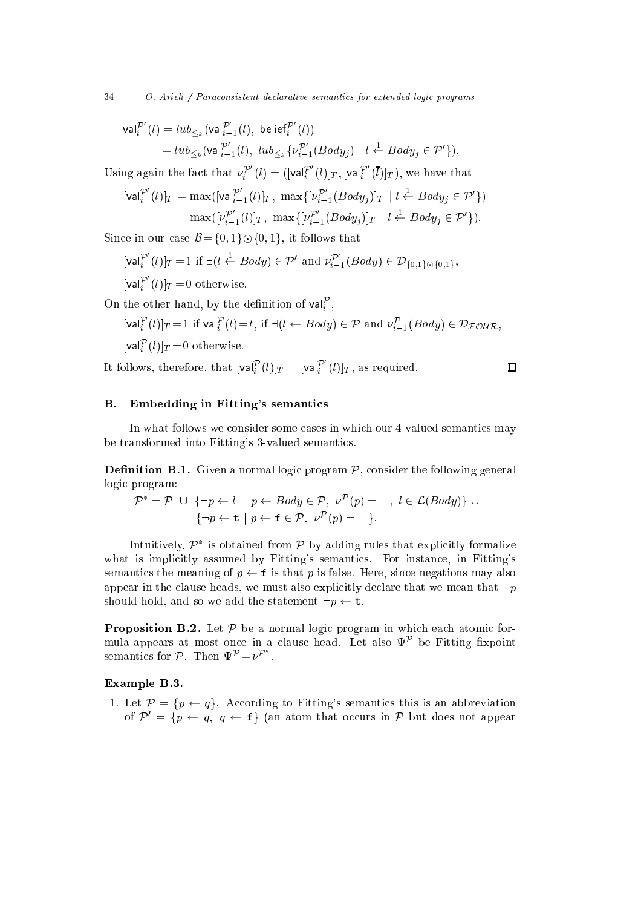34 O. Arieli / Paraconsistent declarative semantics for extended logic programs

val $_l^{\nu}\left(l\right)=lub_{\leq k}$ (val $_{i=1}^{\nu}(l),\,$  belief $_l^{\nu}\left(l\right)$ )  $= lub_{\leq k}(\mathsf{val}_{i-1}^P(l), \; lub_{\leq k} \{\nu_{i-1}^P(Body_j) \mid l \leftarrow Body_j \in \mathcal{P}'\}).$ 

Using again the fact that  $\nu_i^P(l) = (\lvert \mathsf{val}_i^P(l) \rvert_T, \lvert \mathsf{val}_i^P(l) \rvert_T)$ , we have that

$$
[\text{val}_i^{\mathcal{P}'}(l)]_T = \max([\text{val}_{i-1}^{\mathcal{P}'}(l)]_T, \ \max\{[\nu_{i-1}^{\mathcal{P}'}(Body_j)]_T \mid l \leftarrow Body_j \in \mathcal{P}'\}\) = \max([\nu_{i-1}^{\mathcal{P}'}(l)]_T, \ \max\{[\nu_{i-1}^{\mathcal{P}'}(Body_j)]_T \mid l \leftarrow Body_j \in \mathcal{P}'\} ).
$$

Since in our case  $\mathcal{B} = \{0, 1\} \odot \{0, 1\}$ , it follows that

$$
[\text{val}_i^{p'}(l)]_T = 1 \text{ if } \exists (l \stackrel{1}{\leftarrow} Body) \in \mathcal{P}' \text{ and } \nu_{i-1}^{p'}(Body) \in \mathcal{D}_{\{0,1\} \odot \{0,1\}},
$$

[val $_l^{\nu}(l)|_T = 0$  otherwise.

On the other hand, by the definition of vale,

[val<sub>i</sub>  $(i)$ ] $T = 1$  if val<sub>i</sub>  $(i) = i$ , if  $\exists (i \leftarrow \textit{Boay}) \in P$  and  $\nu_{i-1}(\textit{Boay}) \in \textit{Dfoux}$ , [val $_i$  (l)] $_T =$ u otherwise.

It follows, therefore, that  $|{\mathsf{val}}_i^{\varphi}(l)|_T = |{\mathsf{val}}_i^{\varphi}(l)|_T$ , as required.

 $\Box$ 

# B. Embedding in Fitting's semanti
s

In what follows we consider some cases in which our 4-valued semantics may be transformed into Fitting's 3-valued semanti
s.

**Definition B.1.** Given a normal logic program  $P$ , consider the following general logic program:

$$
\mathcal{P}^* = \mathcal{P} \cup \{ \neg p \leftarrow \overline{l} \mid p \leftarrow Body \in \mathcal{P}, \nu^{\mathcal{P}}(p) = \bot, \ l \in \mathcal{L}(Body) \} \cup \{ \neg p \leftarrow \mathbf{t} \mid p \leftarrow \mathbf{f} \in \mathcal{P}, \ \nu^{\mathcal{P}}(p) = \bot \}.
$$

Intuitively,  $\mu$  is obtained from  $\nu$  by adding rules that explicitly formalize what is implicitly assumed by Fitting's semantics. For instance, in Fitting's semantics the meaning of  $p \leftarrow f$  is that p is false. Here, since negations may also appear in the clause heads, we must also explicitly declare that we mean that  $\neg p$ should hold, and so we add the statement  $\neg p \leftarrow t$ .

**Proposition B.2.** Let  $P$  be a normal logic program in which each atomic formula appears at most on
e in a lause head. Let also P be Fitting xpoint semantics for P. Then  $\Psi^{\rho} = \nu^{\rho}$ .

#### Example B.3.

1. Let  $\mathcal{P} = \{p \leftarrow q\}$ . According to Fitting's semantics this is an abbreviation of  $\mathcal{P}' = \{p \leftarrow q, q \leftarrow f\}$  (an atom that occurs in P but does not appear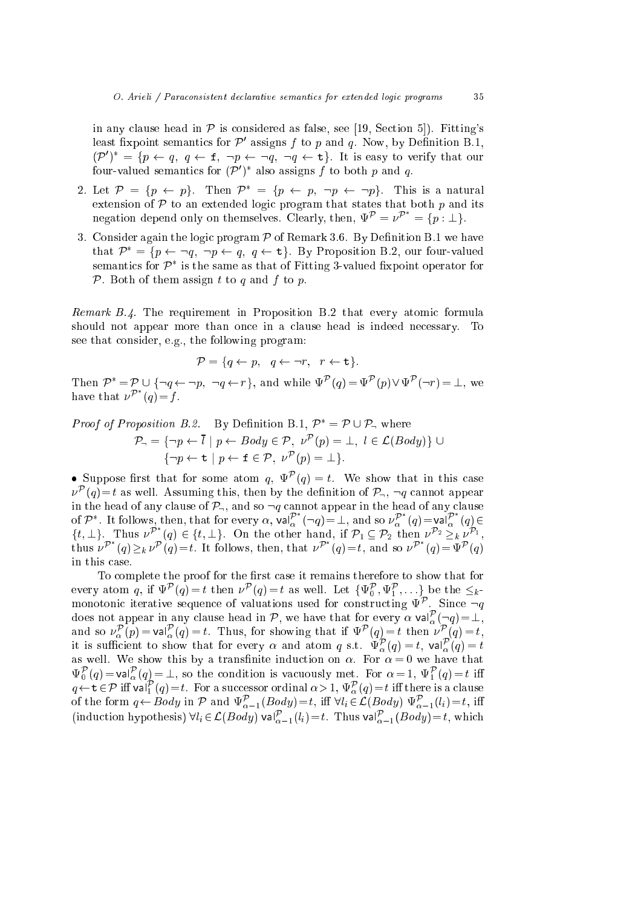in any clause head in  $P$  is considered as false, see [19, Section 5]). Fitting's ieast inxpoint semantics for  $\beta$  assigns f to p and q. Now, by Definition B.1,  $(P) = \{p \leftarrow q, q \leftarrow r, \neg p \leftarrow \neg q, \neg q \leftarrow r\}$ . It is easy to verify that our four-valued semantics for  $(P)$  also assigns f to both p and q.

- 2. Let  $\mathcal{P} = \{p \leftarrow p\}$ . Then  $\mathcal{P}^* = \{p \leftarrow p, \neg p \leftarrow \neg p\}$ . This is a natural extension of  $P$  to an extended logic program that states that both  $p$  and its negation depend only on themselves. Clearly, then,  $\Psi^{\mu} = \nu^{\mu} = \{p : \bot\}.$
- 3. Consider again the logic program  $P$  of Remark 3.6. By Definition B.1 we have that  $\mathcal{P}^* = \{p \leftarrow \neg q, \neg p \leftarrow q, q \leftarrow \mathbf{t}\}.$  By Proposition B.2, our four-valued semantics for  $\gamma$  is the same as that of Fitting 3-valued if xpoint operator for P. Both of them assign t to q and f to p.

Remark B.4. The requirement in Proposition B.2 that every atomic formula should not appear more than once in a clause head is indeed necessary. To see that onsider, e.g., the following program:

$$
\mathcal{P} = \{ q \leftarrow p, \ q \leftarrow \neg r, \ r \leftarrow \mathbf{t} \}.
$$

Then  $P = P \cup \{ \neg q \leftarrow \neg p, \neg q \leftarrow r \}$ , and while  $\Psi'(q) = \Psi'(p) \vee \Psi'(r) = \bot$ , we have that  $\nu^P$   $(q) = f$ .

Proof of Proposition B.2. By Definition B.1, 
$$
\mathcal{P}^* = \mathcal{P} \cup \mathcal{P}_-
$$
 where  
\n
$$
\mathcal{P}_- = \{ \neg p \leftarrow \overline{l} \mid p \leftarrow Body \in \mathcal{P}, \ \nu^{\mathcal{P}}(p) = \bot, \ l \in \mathcal{L}(Body) \} \ \cup
$$
\n
$$
\{ \neg p \leftarrow \mathbf{t} \mid p \leftarrow \mathbf{f} \in \mathcal{P}, \ \nu^{\mathcal{P}}(p) = \bot \}.
$$

• Suppose first that for some atom  $q, \Psi'(q) = t$ . We show that in this case  $\nu^{\gamma}$  (q)  $\equiv$  t as well. Assuming this, then by the definition of  $P_{\neg}$ ,  $\neg q$  cannot appear in the head of any clause of  $P_{\neg}$ , and so  $\neg q$  cannot appear in the head of any clause of  $\mathcal{P}^*$ . It follows, then, that for every  $\alpha$ ,  $\mathsf{val}^{\wedge}_{\alpha}(\neg q) = \bot$ , and so  $\nu^{\wedge}_{\alpha} (q) = \mathsf{val}^{\wedge}_{\alpha} (q) \in$  $\{t, \perp\}$ . Thus  $\nu^{\nu}$  (q)  $\in \{t, \perp\}$ . On the other hand, if  $\mathcal{P}_1 \subseteq \mathcal{P}_2$  then  $\nu^{\nu^2} \geq_k \nu^{\nu_1}$ ,<br>thus  $\nu^{\mathcal{P}^*}(q) \geq_k \nu^{\mathcal{P}}(q) = t$ . It follows, then, that  $\nu^{\mathcal{P}^*}(q) = t$ , and so  $\nu^{\mathcal{P}^*}(q$ in this ase.

To complete the proof for the first case it remains therefore to show that for every atom q, if  $\Psi^*(q) = t$  then  $\nu^*(q) = t$  as well. Let  $\{\Psi_0^*, \Psi_1^*, \ldots\}$  be the  $\leq_k$ monotonic iterative sequence of valuations used for constructing  $\Psi'$  . Since  $\neg q$ does not appear in any clause head in P, we have that for every  $\alpha$  val<sub> $\alpha$ </sub> ( $\neg q$ )  $\equiv$   $\pm$ , and so  $\nu_\alpha'(p) = \text{val}_\alpha(q) = t$ . Thus, for showing that if  $\Psi'(q) = t$  then  $\nu'(q) = t$ , it is sumertent to snow that for every  $\alpha$  and atom q s.t.  $\Psi_{\alpha}^{\vee}(q) = t$ , val $_{\alpha}^{\vee}(q) = t$ as well. We show this by a transfinite induction on  $\alpha$ . For  $\alpha = 0$  we have that  $\Psi_0^{\epsilon}(q) = \text{val}_{\alpha}(q) = \bot$ , so the condition is vacuously met. For  $\alpha = 1, \ \Psi_1^{\epsilon}(q) = t$  iff  $q \leftarrow$  t $\in$   $P$  in val $_1^{\tau}(q)$   $\!=$   $t.$  For a successor ordinal  $\alpha$   $\!>$  1,  $\,\Psi^{\,\prime}_{\alpha}\,(q)$   $\!=$   $t$  in there is a clause of the form  $q \leftarrow$  *Body* in P and  $\Psi_{\alpha-1}(B\text{ o }ay) = t$ , in  $\nabla i_i \in L(B\text{ o }ay)$   $\Psi_{\alpha-1}'(i_i) = t$ , in (induction hypothesis)  $\forall i_i \in L(\text{Body})$  val $_{\alpha=1}^{\infty}(i_i) = t$ . Thus val $_{\alpha=1}^{\infty}(B\text{ oay}) = t$ , which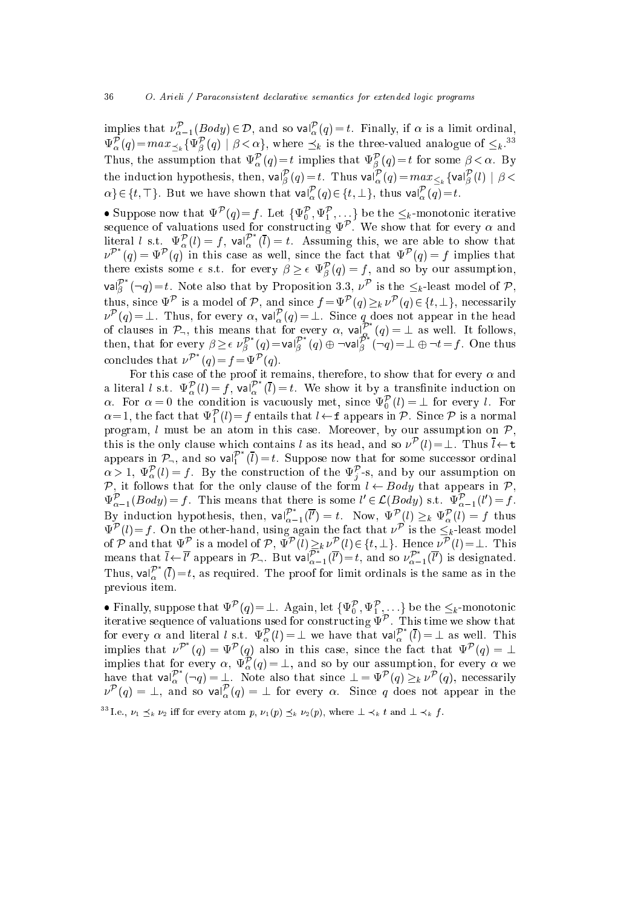implies that  $\nu_{\alpha-1}(Boay) \in D$ , and so  $\text{Val}_{\alpha}(q) = t$ . Finally, if  $\alpha$  is a limit ordinal,  $\Psi_\alpha(q) = max_{\preceq_k} \{\Psi_\beta(q) \mid \beta \leq \alpha\},\$  where  $\preceq_k$  is the three-valued analogue of  $\preceq_k$ . Thus, the assumption that  $\Psi_{\alpha}(q) = i$  implies that  $\Psi_{\beta}(q) = i$  for some  $\rho < \alpha$ . By the induction hypothesis, then,  $\mathsf{val}_\beta(q) = t$ . Thus  $\mathsf{val}_\alpha(q) = max_{\leq k} \{\mathsf{val}_\beta(u) \mid \beta \leq t\}$  $\alpha_i \in \{t, +\}$ . But we have shown that val<sub> $\alpha_i$ </sub>  $(q) \in \{t, \pm\}$ , thus val<sub> $\alpha_i$ </sub>  $(q) = t$ .

• Suppose now that  $\Psi^+(q) = j$ . Let  $\{\Psi_0^-, \Psi_1^+, \ldots\}$  be the  $\leq_k$ -monotonic relative sequence of valuations used for constructing  $\Psi'$  . We show that for every  $\alpha$  and literal l s.t.  $\Psi_{\alpha}^{\nu}(l) = f$ ,  $\mathsf{val}_{\alpha}^{\nu}(l) = t$ . Assuming this, we are able to show that  $\nu^{\nu}$  (q) =  $\Psi^{\nu}(q)$  in this case as well, since the fact that  $\Psi^{\nu}(q) = f$  implies that there exists some  $\epsilon$  s.t. for every  $\rho \geq \epsilon \ \Psi_{\beta}(q) = j$ , and so by our assumption, val<sub>2</sub>  $(\neg q)=t$ . Note also that by Proposition 3.3,  $\nu^{\nu}$  is the  $\leq_k$ -least model of P, thus, since  $\Psi^*$  is a model of P, and since  $f = \Psi^*(q) \leq k \nu^*(q) \in \{t, \pm\}$ , necessarily  $\nu^{\gamma}$  (q) =  $\bot$ . Thus, for every  $\alpha$ , val<sub>a</sub> (q) =  $\bot$ . Since q does not appear in the head of clauses in  $\mathcal{P}_\neg$ , this means that for every  $\alpha$ , val<sub> $\alpha$ </sub>  $(q) = \bot$  as well. It follows, then, that for every  $\beta \geq \epsilon \nu_{\beta}^{\mathcal{P}^*}(q) = \mathsf{val}_{\beta}^{\mathcal{P}^*}(q) \oplus \neg \mathsf{val}_{\beta}^{\mathcal{P}^*}(\neg q) = \bot \oplus \neg t = f$ . One thus concludes that  $\nu^P$  (q) =  $f = \Psi^P(q)$ .

For this case of the proof it remains, therefore, to show that for every  $\alpha$  and a literal l s.t.  $\Psi_{\alpha}^{\prime}(l) = f$ , val<sub> $\alpha$ </sub>  $(l) = t$ . We show it by a transfinite induction on  $\alpha$ . For  $\alpha = 0$  the condition is vacuously met, since  $\Psi_0^{\alpha}(t) = \bot$  for every *t*. For  $\alpha$  = 1, the fact that  $\Psi_1^*(t) = f$  entails that  $t \leftarrow$  appears in P. Since P is a normal program,  $l$  must be an atom in this case. Moreover, by our assumption on  $P$ , this is the only clause which contains t as its head, and so  $\nu^+(t) = \bot$ . Thus  $t \leftarrow \tau$ appears in  $\mathcal{P}_{\neg}$ , and so val<sup>p\*</sup> ( $\overline{l}$ ) = t. Suppose now that for some successor ordinal  $\mathbf{I} \in \mathcal{C}$  , the some suppose that for some such such such that for some such that  $\mathbf{I} \in \mathcal{C}$  $\alpha > 1$ ,  $\Psi_{\alpha}^{\alpha}(\iota) = j$ . By the construction of the  $\Psi_{j}^{\alpha}$ -s, and by our assumption on P, it follows that for the only clause of the form  $l \leftarrow Body$  that appears in P,  $\Psi'_{\alpha-1}(D\omega y) = j$ . This means that there is some  $i \in L(D\omega y)$  s.t.  $\Psi'_{\alpha-1}(i) = j$ . By induction hypothesis, then,  $\mathsf{val}_{\alpha-1}(\mathit{l}')=t$ . Now,  $\Psi^{\nu}(\mathit{l})\geq_k \Psi^{\nu}_{\alpha}(\mathit{l})=f$  thus  $\Psi'(t) = f$ . On the other-hand, using again the fact that  $\nu'$  is the  $\leq_k$ -least model of P and that  $\Psi'$  is a model of P,  $\Psi'$   $(i) \leq k^{p'}$   $(i) \in \{i, \pm\}$ . Hence  $\nu'$   $(i) = \pm$ . This means that  $l \leftarrow l'$  appears in  $\mathcal{P}_n$ . But val $_{\alpha=1}^{\infty}(l')=t$ , and so  $\nu_{\alpha=1}^{\infty}(l')$  is designated. Thus, val<sub> $\alpha$ </sub>  $(l) = t$ , as required. The proof for limit ordinals is the same as in the previous item.

**• r** many, suppose that  $\Psi \cdot (q) = \bot$ . Again, let  $\{\Psi_0, \Psi_1, \ldots\}$  be the  $\leq_k$ -monotonic iterative sequence of valuations used for constructing  $\Psi^*$  . This time we show that for every  $\alpha$  and literal l s.t.  $\Psi_{\alpha}^{\alpha}(l) = \perp$  we have that val<sub> $\alpha$ </sub>  $(l) = \perp$  as well. This implies that  $\nu^{\nu}(q) = \Psi^{\nu}(q)$  also in this case, since the fact that  $\Psi^{\nu}(q) = \bot$ implies that for every  $\alpha$ ,  $\Psi_{\alpha}(q) = \bot$ , and so by our assumption, for every  $\alpha$  we have that val<sub>a</sub>  $(\neg q) = \bot$ . Note also that since  $\bot = \Psi^{\nu}(q) \geq_k \nu^{\nu}(q)$ , necessarily  $\nu^{\gamma}$  (q) =  $\bot$ , and so val<sub>a</sub> (q) =  $\bot$  for every  $\alpha$ . Since q does not appear in the

 $\overline{a}$  i.e.,  $\nu_1 \prec_k \nu_2$  in for every atom p,  $\nu_1(p) \prec_k \nu_2(p)$ , where  $\bot \prec_k t$  and  $\bot \prec_k t$ .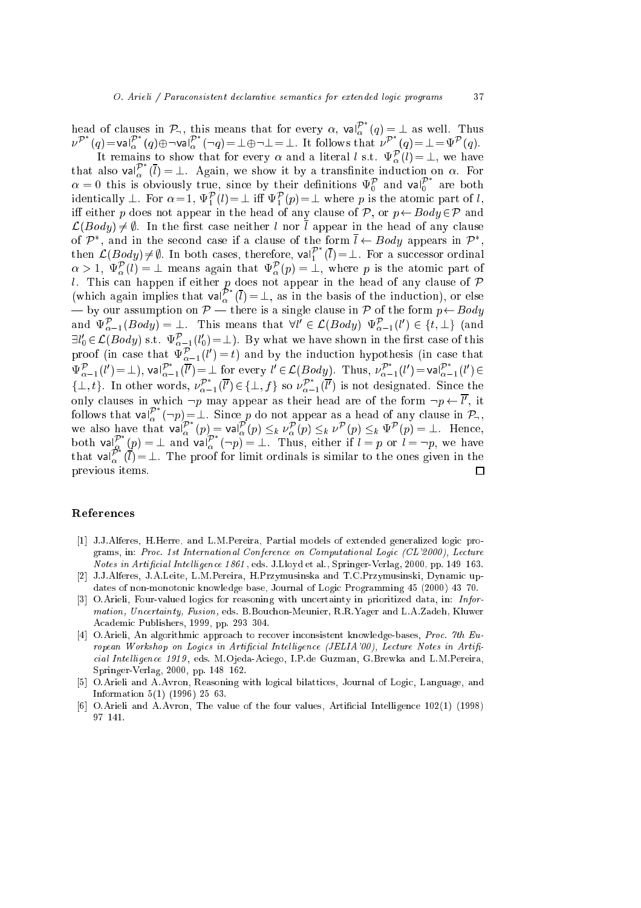head of clauses in  $\mathcal{P}_1$ , this means that for every  $\alpha$ ,  $\text{val}^{\rho}_{\alpha}(q) = \bot$  as well. Thus  $\nu^{\mathcal{P}^*}(q) = \text{val}^{\mathcal{P}^*}_{\alpha}(q) \oplus \neg \text{val}^{\mathcal{P}^*}_{\alpha}(\neg q) = \bot \oplus \neg \bot = \bot$ . It follows that  $\nu^{\mathcal{P}^*}(q) = \bot = \Psi^{\mathcal{P}}(q$ 

It remains to show that for every  $\alpha$  and a literal  $\iota$  s.t.  $\Psi^{\alpha}_{\alpha}(\iota) = \bot$ , we have that also val<sub>0</sub>  $(l) = \perp$ . Again, we show it by a transfinite induction on  $\alpha$ . For  $\alpha = 0$  this is obviously true, since by their definitions  $\Psi_0^{\rho}$  and val<sub>0</sub> are both identically  $\perp$ . For  $\alpha = 1$ ,  $\Psi_1^*(t) = \perp$  in  $\Psi_1^*(p) = \perp$  where p is the atomic part of  $t$ , iff either p does not appear in the head of any clause of P, or  $p \leftarrow Body \in \mathcal{P}$  and  $\mathcal{L}(Body) \neq \emptyset$ . In the first case neither l nor  $\overline{l}$  appear in the head of any clause of P, and in the second case if a clause of the form  $\ell \leftarrow$  Doay appears in P, then  $\mathcal{L}(Body) \neq \emptyset$ . In both cases, therefore, val<sub>1</sub><sup> $\{l\} = \perp$ . For a successor ordinal</sup>  $\alpha > 1$ ,  $\Psi_{\alpha}'(t) = \bot$  means again that  $\Psi_{\alpha}'(p) = \bot$ , where p is the atomic part of (which again implies that val $\overline{l}_{\rho}^{p*}(\overline{l}) = \bot$ , as in the basis of the induction), or else — by our assumption on  $P$  — there is a single clause in P of the form  $p \leftarrow Body$ and  $\Psi'_{\alpha-1}(B\text{ o}ay) = \bot$ . I his means that  $\nabla \ell \in \mathcal{L}(B\text{ o}ay)$   $\Psi'_{\alpha-1}(\ell) \in \{t, \bot\}$  (and  $\Box t_0 \in L(Douy)$  s.t.  $\Psi'_{\alpha-1}(t_0)$  $0$ ) and  $\overline{z}$  where we have shown in the this this term is the this proof (in case that  $\Psi_{\alpha-1}^*(t) = t$ ) and by the induction hypothesis (in case that  $\Psi_{\alpha-1}^{P}(l') = \bot$ , val $_{\alpha-1}^{P}(l') = \bot$  for every  $l' \in \mathcal{L}(Body)$ . Thus,  $\nu_{\alpha-1}^{P}(l') = \text{val}_{\alpha-1}^{P}(l') \in \{\bot, t\}$ . In other words,  $\nu_{\alpha-1}^{P^*}(\overline{l'}) \in \{\bot, f\}$  so  $\nu_{\alpha-1}^{P^*}(\overline{l'})$  is not designated. Since the only clauses in which  $\neg p$  may appear as their head are of the form  $\neg p \leftarrow \iota$ follows that  $\mathsf{val}_{\alpha}^{p^*}(\neg p) = \bot$ . Since p do not appear as a head of any clause in  $\mathcal{P}_{\neg}$ ,<br>we also have that  $\mathsf{val}_{\alpha}^{p^*} (p) = \mathsf{val}_{\alpha}^{p^*} (p) \leq_k \nu_{\alpha}^{p^*} (p) \leq_k \nu^{\mathcal{P}} (p) \leq_k \Psi^{\mathcal{P}} (p) = \bot$ . Hence,<br>both that val<sub> $\alpha$ </sub>  $(l) = \perp$ . The proof for limit ordinals is similar to the ones given in the previous items. П

#### Referen
es

- [1] J.J.Alferes, H.Herre, and L.M.Pereira, Partial models of extended generalized logic programs, in: Proc. 1st International Conference on Computational Logic (CL'2000), Lecture Notes in Artificial Intelligence 1861, eds. J.Lloyd et al., Springer-Verlag, 2000, pp. 149-163.
- [2] J.J.Alferes, J.A.Leite, L.M.Pereira, H.Przymusinska and T.C.Przymusinski, Dynamic updates of non-monotonic knowledge base, Journal of Logic Programming 45 (2000) 43-70.
- [3] O.Arieli, Four-valued logics for reasoning with uncertainty in prioritized data, in: Information, Uncertainty, Fusion, eds. B.Bouchon-Meunier, R.R.Yager and L.A.Zadeh, Kluwer Academic Publishers, 1999, pp. 293-304.
- [4] O.Arieli, An algorithmic approach to recover inconsistent knowledge-bases, *Proc. 7th Eu*ropean Workshop on Logics in Artificial Intelligence (JELIA'00), Lecture Notes in Artificial Intelligence 1919, eds. M.Ojeda-Aciego, I.P.de Guzman, G.Brewka and L.M.Pereira, Springer-Verlag, 2000, pp. 148-162.
- [5] O.Arieli and A.Avron, Reasoning with logical bilattices, Journal of Logic, Language, and Information  $5(1)$  (1996) 25-63.
- [6] O.Arieli and A.Avron, The value of the four values, Artificial Intelligence 102(1) (1998) 97-141.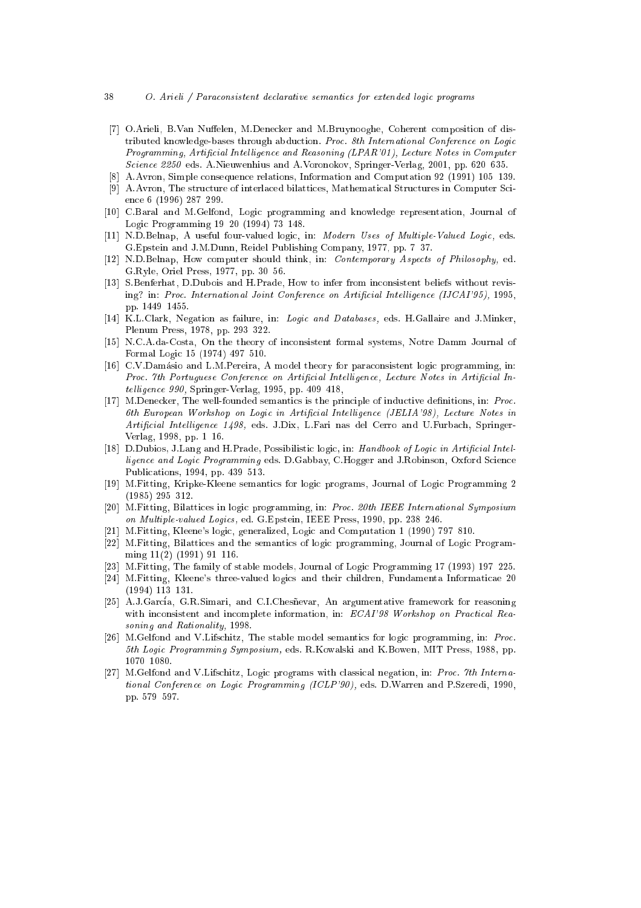#### 38 O. Arieli / Paraconsistent declarative semantics for extended logic programs

- [7] O.Arieli, B.Van Nuffelen, M.Denecker and M.Bruynooghe, Coherent composition of distributed knowledge-bases through abduction. Proc. 8th International Conference on Logic Programming, Artificial Intelligence and Reasoning (LPAR'01), Lecture Notes in Computer Science 2250 eds. A.Nieuwenhius and A.Voronokov, Springer-Verlag, 2001, pp. 620–635.
- A.Avron, Simple consequence relations, Information and Computation 92 (1991) 105-139.
- [9] A.Avron, The structure of interlaced bilattices, Mathematical Structures in Computer Science 6 (1996) 287-299.
- [10] C.Baral and M.Gelfond, Logic programming and knowledge representation, Journal of Logic Programming 19-20 (1994) 73-148.
- [11] N.D.Belnap, A useful four-valued logic, in: Modern Uses of Multiple-Valued Logic, eds. G.Epstein and J.M.Dunn, Reidel Publishing Company, 1977, pp. 7-37.
- [12] N.D.Belnap, How computer should think, in: Contemporary Aspects of Philosophy, ed. G.Ryle, Oriel Press,  $1977$ , pp.  $30-56$ .
- [13] S.Benferhat, D.Dubois and H.Prade, How to infer from inconsistent beliefs without revising? in: Proc. International Joint Conference on Artificial Intelligence (IJCAI'95), 1995, pp. 1449-1455.
- [14] K.L.Clark, Negation as failure, in: Logic and Databases, eds. H.Gallaire and J.Minker, Plenum Press, 1978, pp. 293-322.
- [15] N.C.A.da-Costa, On the theory of inconsistent formal systems, Notre Damm Journal of Formal Logic 15 (1974) 497-510.
- [16] C.V.Damásio and L.M.Pereira, A model theory for paraconsistent logic programming, in: Proc. 7th Portuguese Conference on Artificial Intelligence, Lecture Notes in Artificial Intelligence 990, Springer-Verlag, 1995, pp. 409-418,
- [17] M.Denecker, The well-founded semantics is the principle of inductive definitions, in: Proc. 6th European Workshop on Logic in Artificial Intelligence (JELIA'98), Lecture Notes in Artificial Intelligence 1498, eds. J.Dix, L.Fari nas del Cerro and U.Furbach, Springer-Verlag, 1998, pp. 1-16.
- [18] D.Dubios, J.Lang and H.Prade, Possibilistic logic, in: Handbook of Logic in Artificial Intelligence and Logic Programming eds. D.Gabbay, C.Hogger and J.Robinson, Oxford Science Publications, 1994, pp. 439-513.
- [19] M.Fitting, Kripke-Kleene semantics for logic programs, Journal of Logic Programming 2  $(1985)$  295-312.
- [20] M.Fitting, Bilattices in logic programming, in: Proc. 20th IEEE International Symposium on Multiple-valued Logics, ed. G.Epstein, IEEE Press, 1990, pp. 238-246.
- [21] M.Fitting, Kleene's logic, generalized, Logic and Computation 1 (1990) 797-810.
- [22] M.Fitting, Bilattices and the semantics of logic programming, Journal of Logic Programming  $11(2)$  (1991) 91-116.
- $123$ M.Fitting, The family of stable models, Journal of Logic Programming 17 (1993) 197-225.
- [24] M.Fitting, Kleene's three-valued logics and their children, Fundamenta Informaticae 20  $(1994)$  113-131.
- [25] A.J.García, G.R.Simari, and C.I.Chesnevar, An argumentative framework for reasoning with inconsistent and incomplete information, in: ECAI'98 Workshop on Practical Reasoning and Rationality, 1998.
- [26] M.Gelfond and V.Lifschitz, The stable model semantics for logic programming, in: Proc. 5th Logi Programming Symposium, eds. R.Kowalski and K.Bowen, MIT Press, 1988, pp. 1070-1080.
- [27] M.Gelfond and V.Lifschitz, Logic programs with classical negation, in: Proc. 7th International Conference on Logic Programming (ICLP'90), eds. D.Warren and P.Szeredi, 1990, pp. 579-597.